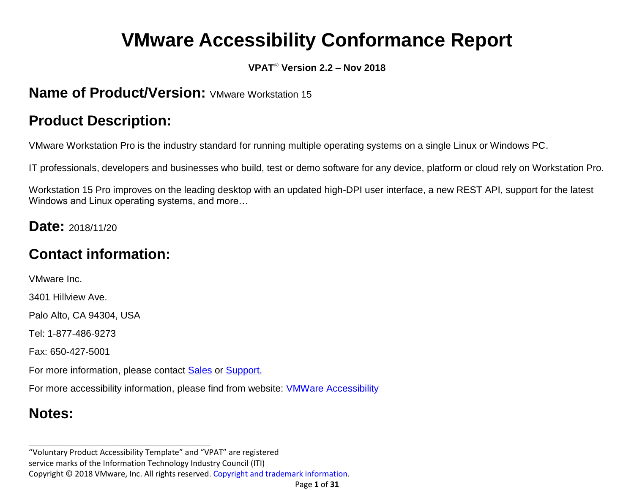# **VMware Accessibility Conformance Report**

#### **VPAT**® **Version 2.2 – Nov 2018**

#### **Name of Product/Version:** VMware Workstation 15

# **Product Description:**

VMware Workstation Pro is the industry standard for running multiple operating systems on a single Linux or Windows PC.

IT professionals, developers and businesses who build, test or demo software for any device, platform or cloud rely on Workstation Pro.

Workstation 15 Pro improves on the leading desktop with an updated high-DPI user interface, a new REST API, support for the latest Windows and Linux operating systems, and more…

#### **Date:** 2018/11/20

# **Contact information:**

VMware Inc.

3401 Hillview Ave.

Palo Alto, CA 94304, USA

Tel: 1-877-486-9273

Fax: 650-427-5001

For more information, please contact [Sales](https://www.vmware.com/company/contact_sales.html) or [Support.](https://www.vmware.com/support/contacts.html)

For more accessibility information, please find from website: [VMWare Accessibility](https://www.vmware.com/help/accessibility.html) 

# **Notes:**

**\_\_\_\_\_\_\_\_\_\_\_\_\_\_\_\_\_\_\_\_\_\_\_\_\_\_\_\_\_\_\_\_\_\_**

<sup>&</sup>quot;Voluntary Product Accessibility Template" and "VPAT" are registered

service marks of the Information Technology Industry Council (ITI)

Copyright © 2018 VMware, Inc. All rights reserved. [Copyright and trademark information.](http://pubs.vmware.com/copyright-trademark.html)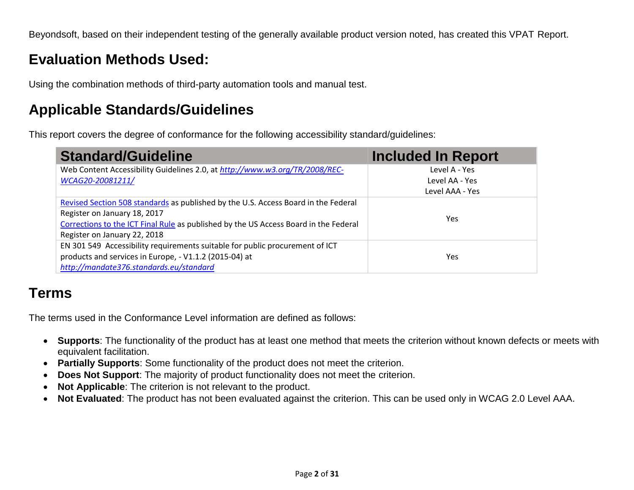Beyondsoft, based on their independent testing of the generally available product version noted, has created this VPAT Report.

#### **Evaluation Methods Used:**

Using the combination methods of third-party automation tools and manual test.

#### **Applicable Standards/Guidelines**

This report covers the degree of conformance for the following accessibility standard/guidelines:

| <b>Standard/Guideline</b>                                                                                                                                                                                                                  | <b>Included In Report</b>                          |
|--------------------------------------------------------------------------------------------------------------------------------------------------------------------------------------------------------------------------------------------|----------------------------------------------------|
| Web Content Accessibility Guidelines 2.0, at http://www.w3.org/TR/2008/REC-<br>WCAG20-20081211/                                                                                                                                            | Level A - Yes<br>Level AA - Yes<br>Level AAA - Yes |
| Revised Section 508 standards as published by the U.S. Access Board in the Federal<br>Register on January 18, 2017<br>Corrections to the ICT Final Rule as published by the US Access Board in the Federal<br>Register on January 22, 2018 | Yes.                                               |
| EN 301 549 Accessibility requirements suitable for public procurement of ICT<br>products and services in Europe, - V1.1.2 (2015-04) at<br>http://mandate376.standards.eu/standard                                                          | Yes                                                |

#### **Terms**

The terms used in the Conformance Level information are defined as follows:

- **Supports**: The functionality of the product has at least one method that meets the criterion without known defects or meets with equivalent facilitation.
- **Partially Supports**: Some functionality of the product does not meet the criterion.
- **Does Not Support**: The majority of product functionality does not meet the criterion.
- **Not Applicable**: The criterion is not relevant to the product.
- **Not Evaluated**: The product has not been evaluated against the criterion. This can be used only in WCAG 2.0 Level AAA.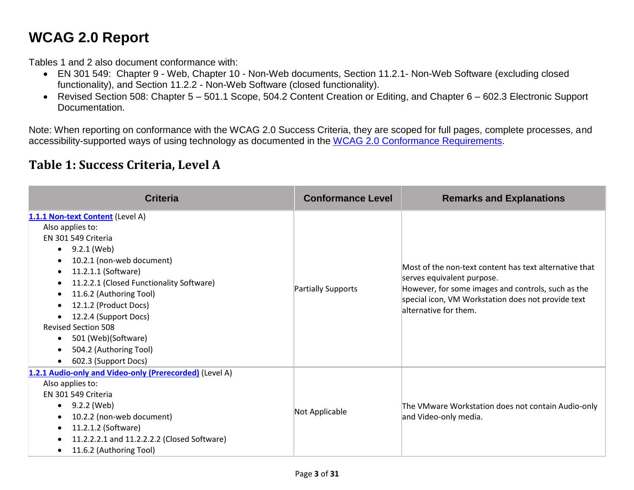# **WCAG 2.0 Report**

Tables 1 and 2 also document conformance with:

- EN 301 549: Chapter 9 Web, Chapter 10 Non-Web documents, Section 11.2.1- Non-Web Software (excluding closed functionality), and Section 11.2.2 - Non-Web Software (closed functionality).
- Revised Section 508: Chapter 5 501.1 Scope, 504.2 Content Creation or Editing, and Chapter 6 602.3 Electronic Support Documentation.

Note: When reporting on conformance with the WCAG 2.0 Success Criteria, they are scoped for full pages, complete processes, and accessibility-supported ways of using technology as documented in the [WCAG 2.0 Conformance Requirements.](https://www.w3.org/TR/WCAG20/#conformance-reqs)

#### **Table 1: Success Criteria, Level A**

| <b>Criteria</b>                                                                                                                                                                                                                                                                                                                                                                             | <b>Conformance Level</b> | <b>Remarks and Explanations</b>                                                                                                                                                                                           |
|---------------------------------------------------------------------------------------------------------------------------------------------------------------------------------------------------------------------------------------------------------------------------------------------------------------------------------------------------------------------------------------------|--------------------------|---------------------------------------------------------------------------------------------------------------------------------------------------------------------------------------------------------------------------|
| 1.1.1 Non-text Content (Level A)<br>Also applies to:<br>EN 301 549 Criteria<br>9.2.1 (Web)<br>$\bullet$<br>10.2.1 (non-web document)<br>11.2.1.1 (Software)<br>11.2.2.1 (Closed Functionality Software)<br>11.6.2 (Authoring Tool)<br>12.1.2 (Product Docs)<br>12.2.4 (Support Docs)<br><b>Revised Section 508</b><br>501 (Web)(Software)<br>504.2 (Authoring Tool)<br>602.3 (Support Docs) | Partially Supports       | Most of the non-text content has text alternative that<br>serves equivalent purpose.<br>However, for some images and controls, such as the<br>special icon, VM Workstation does not provide text<br>alternative for them. |
| 1.2.1 Audio-only and Video-only (Prerecorded) (Level A)<br>Also applies to:<br>EN 301 549 Criteria<br>9.2.2 (Web)<br>10.2.2 (non-web document)<br>11.2.1.2 (Software)<br>11.2.2.2.1 and 11.2.2.2.2 (Closed Software)<br>11.6.2 (Authoring Tool)                                                                                                                                             | Not Applicable           | The VMware Workstation does not contain Audio-only<br>and Video-only media.                                                                                                                                               |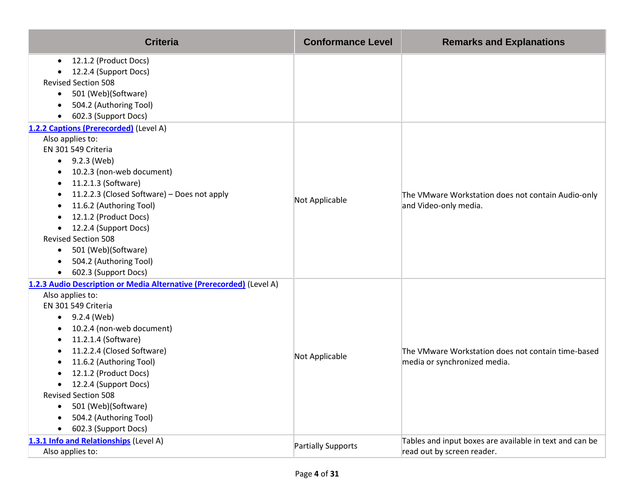| <b>Criteria</b>                                                      | <b>Conformance Level</b> | <b>Remarks and Explanations</b>                                                    |
|----------------------------------------------------------------------|--------------------------|------------------------------------------------------------------------------------|
| 12.1.2 (Product Docs)<br>$\bullet$                                   |                          |                                                                                    |
| 12.2.4 (Support Docs)                                                |                          |                                                                                    |
| <b>Revised Section 508</b>                                           |                          |                                                                                    |
| 501 (Web)(Software)<br>$\bullet$                                     |                          |                                                                                    |
| 504.2 (Authoring Tool)                                               |                          |                                                                                    |
| 602.3 (Support Docs)                                                 |                          |                                                                                    |
| 1.2.2 Captions (Prerecorded) (Level A)                               |                          |                                                                                    |
| Also applies to:<br>EN 301 549 Criteria                              |                          |                                                                                    |
| 9.2.3 (Web)<br>$\bullet$                                             |                          |                                                                                    |
| 10.2.3 (non-web document)                                            |                          |                                                                                    |
| 11.2.1.3 (Software)<br>٠                                             |                          |                                                                                    |
| 11.2.2.3 (Closed Software) - Does not apply                          |                          | The VMware Workstation does not contain Audio-only                                 |
| 11.6.2 (Authoring Tool)<br>٠                                         | Not Applicable           | and Video-only media.                                                              |
| 12.1.2 (Product Docs)                                                |                          |                                                                                    |
| 12.2.4 (Support Docs)<br>$\bullet$                                   |                          |                                                                                    |
| <b>Revised Section 508</b>                                           |                          |                                                                                    |
| 501 (Web)(Software)<br>٠                                             |                          |                                                                                    |
| 504.2 (Authoring Tool)<br>$\bullet$                                  |                          |                                                                                    |
| 602.3 (Support Docs)<br>$\bullet$                                    |                          |                                                                                    |
| 1.2.3 Audio Description or Media Alternative (Prerecorded) (Level A) |                          |                                                                                    |
| Also applies to:                                                     |                          |                                                                                    |
| EN 301 549 Criteria                                                  |                          | The VMware Workstation does not contain time-based<br>media or synchronized media. |
| 9.2.4 (Web)<br>$\bullet$                                             |                          |                                                                                    |
| 10.2.4 (non-web document)                                            |                          |                                                                                    |
| 11.2.1.4 (Software)                                                  |                          |                                                                                    |
| 11.2.2.4 (Closed Software)                                           | Not Applicable           |                                                                                    |
| 11.6.2 (Authoring Tool)                                              |                          |                                                                                    |
| 12.1.2 (Product Docs)                                                |                          |                                                                                    |
| 12.2.4 (Support Docs)<br>$\bullet$                                   |                          |                                                                                    |
| <b>Revised Section 508</b>                                           |                          |                                                                                    |
| 501 (Web)(Software)<br>$\bullet$                                     |                          |                                                                                    |
| 504.2 (Authoring Tool)                                               |                          |                                                                                    |
| 602.3 (Support Docs)                                                 |                          |                                                                                    |
| 1.3.1 Info and Relationships (Level A)                               | Partially Supports       | Tables and input boxes are available in text and can be                            |
| Also applies to:                                                     |                          | read out by screen reader.                                                         |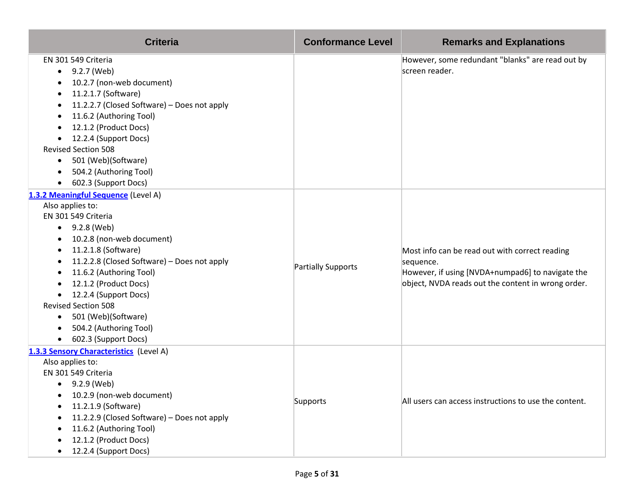| <b>Criteria</b>                                                                                                                                                                                                                                                                                                                                                                                                             | <b>Conformance Level</b> | <b>Remarks and Explanations</b>                                                                                                                                       |
|-----------------------------------------------------------------------------------------------------------------------------------------------------------------------------------------------------------------------------------------------------------------------------------------------------------------------------------------------------------------------------------------------------------------------------|--------------------------|-----------------------------------------------------------------------------------------------------------------------------------------------------------------------|
| EN 301 549 Criteria<br>9.2.7 (Web)<br>$\bullet$<br>10.2.7 (non-web document)<br>11.2.1.7 (Software)<br>11.2.2.7 (Closed Software) - Does not apply<br>11.6.2 (Authoring Tool)<br>12.1.2 (Product Docs)<br>12.2.4 (Support Docs)<br><b>Revised Section 508</b><br>501 (Web)(Software)<br>$\bullet$<br>504.2 (Authoring Tool)<br>$\bullet$<br>602.3 (Support Docs)                                                            |                          | However, some redundant "blanks" are read out by<br>screen reader.                                                                                                    |
| 1.3.2 Meaningful Sequence (Level A)<br>Also applies to:<br>EN 301 549 Criteria<br>9.2.8 (Web)<br>$\bullet$<br>10.2.8 (non-web document)<br>$\bullet$<br>11.2.1.8 (Software)<br>11.2.2.8 (Closed Software) - Does not apply<br>11.6.2 (Authoring Tool)<br>12.1.2 (Product Docs)<br>12.2.4 (Support Docs)<br><b>Revised Section 508</b><br>501 (Web)(Software)<br>$\bullet$<br>504.2 (Authoring Tool)<br>602.3 (Support Docs) | Partially Supports       | Most info can be read out with correct reading<br>sequence.<br>However, if using [NVDA+numpad6] to navigate the<br>object, NVDA reads out the content in wrong order. |
| 1.3.3 Sensory Characteristics (Level A)<br>Also applies to:<br>EN 301 549 Criteria<br>9.2.9 (Web)<br>$\bullet$<br>10.2.9 (non-web document)<br>11.2.1.9 (Software)<br>11.2.2.9 (Closed Software) - Does not apply<br>11.6.2 (Authoring Tool)<br>12.1.2 (Product Docs)<br>12.2.4 (Support Docs)                                                                                                                              | Supports                 | All users can access instructions to use the content.                                                                                                                 |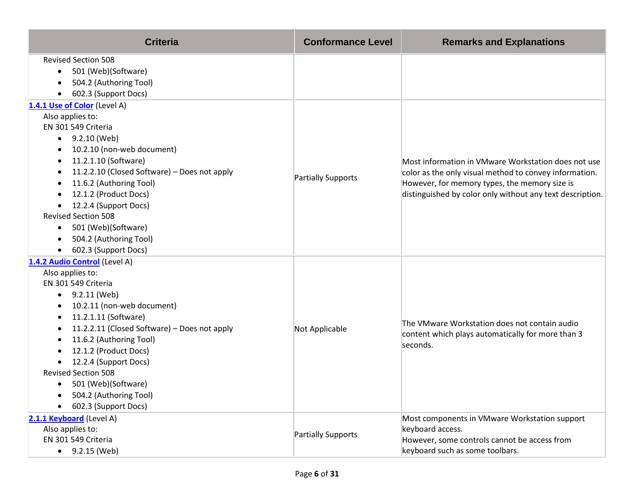| <b>Criteria</b>                                                                                                                                                                                                                                                                                                                                                                                                | <b>Conformance Level</b> | <b>Remarks and Explanations</b>                                                                                                                                                                                             |
|----------------------------------------------------------------------------------------------------------------------------------------------------------------------------------------------------------------------------------------------------------------------------------------------------------------------------------------------------------------------------------------------------------------|--------------------------|-----------------------------------------------------------------------------------------------------------------------------------------------------------------------------------------------------------------------------|
| <b>Revised Section 508</b><br>501 (Web)(Software)<br>$\bullet$<br>504.2 (Authoring Tool)<br>602.3 (Support Docs)                                                                                                                                                                                                                                                                                               |                          |                                                                                                                                                                                                                             |
| 1.4.1 Use of Color (Level A)<br>Also applies to:<br>EN 301 549 Criteria<br>$-9.2.10$ (Web)<br>10.2.10 (non-web document)<br>11.2.1.10 (Software)<br>11.2.2.10 (Closed Software) - Does not apply<br>11.6.2 (Authoring Tool)<br>12.1.2 (Product Docs)<br>12.2.4 (Support Docs)<br>$\bullet$<br><b>Revised Section 508</b><br>501 (Web)(Software)<br>$\bullet$<br>504.2 (Authoring Tool)<br>602.3 (Support Docs) | Partially Supports       | Most information in VMware Workstation does not use<br>color as the only visual method to convey information.<br>However, for memory types, the memory size is<br>distinguished by color only without any text description. |
| 1.4.2 Audio Control (Level A)<br>Also applies to:<br>EN 301 549 Criteria<br>9.2.11 (Web)<br>$\bullet$<br>10.2.11 (non-web document)<br>11.2.1.11 (Software)<br>11.2.2.11 (Closed Software) - Does not apply<br>11.6.2 (Authoring Tool)<br>12.1.2 (Product Docs)<br>12.2.4 (Support Docs)<br><b>Revised Section 508</b><br>501 (Web)(Software)<br>$\bullet$<br>504.2 (Authoring Tool)<br>602.3 (Support Docs)   | Not Applicable           | The VMware Workstation does not contain audio<br>content which plays automatically for more than 3<br>seconds.                                                                                                              |
| 2.1.1 Keyboard (Level A)<br>Also applies to:<br>EN 301 549 Criteria<br>9.2.15 (Web)<br>$\bullet$                                                                                                                                                                                                                                                                                                               | Partially Supports       | Most components in VMware Workstation support<br>keyboard access.<br>However, some controls cannot be access from<br>keyboard such as some toolbars.                                                                        |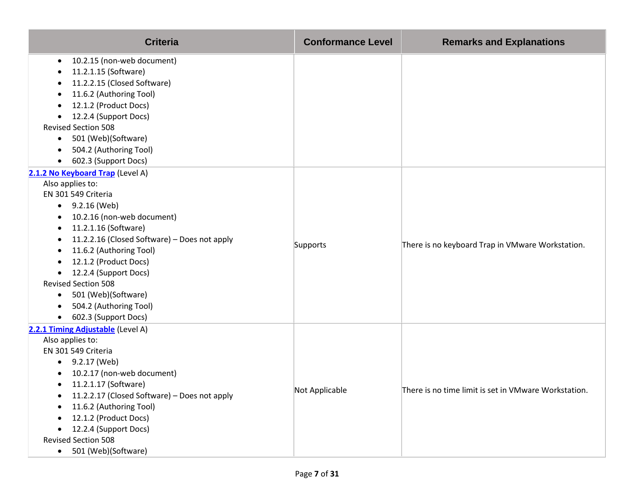| <b>Criteria</b>                                           | <b>Conformance Level</b> | <b>Remarks and Explanations</b>                      |
|-----------------------------------------------------------|--------------------------|------------------------------------------------------|
| 10.2.15 (non-web document)<br>٠                           |                          |                                                      |
| 11.2.1.15 (Software)                                      |                          |                                                      |
| 11.2.2.15 (Closed Software)                               |                          |                                                      |
| 11.6.2 (Authoring Tool)<br>٠                              |                          |                                                      |
| 12.1.2 (Product Docs)                                     |                          |                                                      |
| 12.2.4 (Support Docs)                                     |                          |                                                      |
| <b>Revised Section 508</b>                                |                          |                                                      |
| 501 (Web)(Software)<br>٠                                  |                          |                                                      |
| 504.2 (Authoring Tool)                                    |                          |                                                      |
| 602.3 (Support Docs)<br>$\bullet$                         |                          |                                                      |
| 2.1.2 No Keyboard Trap (Level A)                          |                          |                                                      |
| Also applies to:                                          |                          |                                                      |
| EN 301 549 Criteria                                       |                          |                                                      |
| $\bullet$ 9.2.16 (Web)                                    |                          | There is no keyboard Trap in VMware Workstation.     |
| 10.2.16 (non-web document)<br>٠                           |                          |                                                      |
| 11.2.1.16 (Software)<br>٠                                 |                          |                                                      |
| 11.2.2.16 (Closed Software) - Does not apply              | Supports                 |                                                      |
| 11.6.2 (Authoring Tool)<br>٠<br>12.1.2 (Product Docs)     |                          |                                                      |
| ٠<br>12.2.4 (Support Docs)                                |                          |                                                      |
| $\bullet$<br><b>Revised Section 508</b>                   |                          |                                                      |
| 501 (Web)(Software)<br>$\bullet$                          |                          |                                                      |
| 504.2 (Authoring Tool)                                    |                          |                                                      |
| 602.3 (Support Docs)                                      |                          |                                                      |
| 2.2.1 Timing Adjustable (Level A)                         |                          |                                                      |
| Also applies to:                                          |                          |                                                      |
| EN 301 549 Criteria                                       |                          |                                                      |
| 9.2.17 (Web)<br>$\bullet$                                 |                          |                                                      |
| 10.2.17 (non-web document)                                |                          |                                                      |
| 11.2.1.17 (Software)<br>$\bullet$                         |                          |                                                      |
| 11.2.2.17 (Closed Software) - Does not apply<br>$\bullet$ | Not Applicable           | There is no time limit is set in VMware Workstation. |
| 11.6.2 (Authoring Tool)                                   |                          |                                                      |
| 12.1.2 (Product Docs)                                     |                          |                                                      |
| 12.2.4 (Support Docs)                                     |                          |                                                      |
| <b>Revised Section 508</b>                                |                          |                                                      |
| 501 (Web)(Software)<br>$\bullet$                          |                          |                                                      |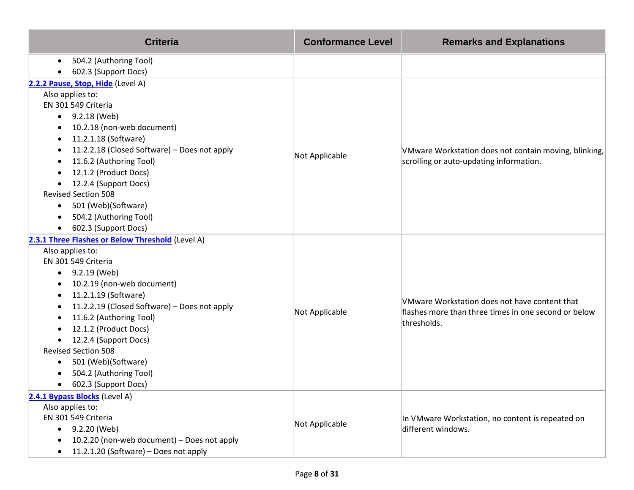| <b>Criteria</b>                                                  | <b>Conformance Level</b> | <b>Remarks and Explanations</b>                                     |
|------------------------------------------------------------------|--------------------------|---------------------------------------------------------------------|
| 504.2 (Authoring Tool)<br>$\bullet$                              |                          |                                                                     |
| 602.3 (Support Docs)                                             |                          |                                                                     |
| 2.2.2 Pause, Stop, Hide (Level A)                                |                          |                                                                     |
| Also applies to:                                                 |                          |                                                                     |
| EN 301 549 Criteria                                              |                          |                                                                     |
| 9.2.18 (Web)<br>$\bullet$                                        |                          |                                                                     |
| 10.2.18 (non-web document)                                       |                          |                                                                     |
| 11.2.1.18 (Software)<br>٠                                        |                          |                                                                     |
| 11.2.2.18 (Closed Software) - Does not apply                     | Not Applicable           | VMware Workstation does not contain moving, blinking,               |
| 11.6.2 (Authoring Tool)                                          |                          | scrolling or auto-updating information.                             |
| 12.1.2 (Product Docs)                                            |                          |                                                                     |
| 12.2.4 (Support Docs)                                            |                          |                                                                     |
| <b>Revised Section 508</b>                                       |                          |                                                                     |
| 501 (Web)(Software)<br>$\bullet$                                 |                          |                                                                     |
| 504.2 (Authoring Tool)                                           |                          |                                                                     |
| 602.3 (Support Docs)<br>$\bullet$                                |                          |                                                                     |
| 2.3.1 Three Flashes or Below Threshold (Level A)                 |                          |                                                                     |
| Also applies to:                                                 |                          |                                                                     |
| EN 301 549 Criteria                                              |                          |                                                                     |
| 9.2.19 (Web)<br>$\bullet$                                        |                          |                                                                     |
| 10.2.19 (non-web document)                                       |                          |                                                                     |
| 11.2.1.19 (Software)<br>$\bullet$                                |                          | VMware Workstation does not have content that                       |
| 11.2.2.19 (Closed Software) - Does not apply                     | Not Applicable           | flashes more than three times in one second or below<br>thresholds. |
| 11.6.2 (Authoring Tool)<br>٠                                     |                          |                                                                     |
| 12.1.2 (Product Docs)                                            |                          |                                                                     |
| 12.2.4 (Support Docs)<br>$\bullet$<br><b>Revised Section 508</b> |                          |                                                                     |
| 501 (Web)(Software)                                              |                          |                                                                     |
| 504.2 (Authoring Tool)                                           |                          |                                                                     |
| 602.3 (Support Docs)<br>$\bullet$                                |                          |                                                                     |
| 2.4.1 Bypass Blocks (Level A)                                    |                          |                                                                     |
| Also applies to:                                                 |                          |                                                                     |
| EN 301 549 Criteria                                              |                          | In VMware Workstation, no content is repeated on                    |
| 9.2.20 (Web)<br>$\bullet$                                        | Not Applicable           | different windows.                                                  |
| 10.2.20 (non-web document) - Does not apply                      |                          |                                                                     |
| 11.2.1.20 (Software) - Does not apply                            |                          |                                                                     |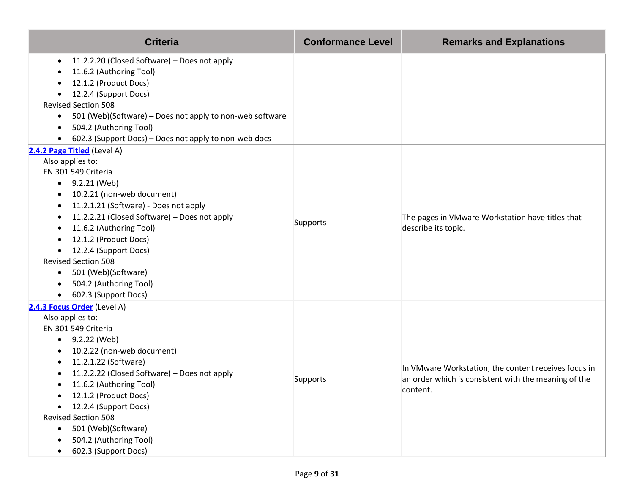| <b>Criteria</b>                                                       | <b>Conformance Level</b> | <b>Remarks and Explanations</b>                                         |
|-----------------------------------------------------------------------|--------------------------|-------------------------------------------------------------------------|
| 11.2.2.20 (Closed Software) - Does not apply<br>$\bullet$             |                          |                                                                         |
| 11.6.2 (Authoring Tool)                                               |                          |                                                                         |
| 12.1.2 (Product Docs)                                                 |                          |                                                                         |
| 12.2.4 (Support Docs)<br>$\bullet$                                    |                          |                                                                         |
| <b>Revised Section 508</b>                                            |                          |                                                                         |
| 501 (Web)(Software) - Does not apply to non-web software<br>$\bullet$ |                          |                                                                         |
| 504.2 (Authoring Tool)<br>$\bullet$                                   |                          |                                                                         |
| 602.3 (Support Docs) - Does not apply to non-web docs                 |                          |                                                                         |
| 2.4.2 Page Titled (Level A)                                           |                          |                                                                         |
| Also applies to:<br>EN 301 549 Criteria                               |                          |                                                                         |
| 9.2.21 (Web)<br>$\bullet$                                             |                          |                                                                         |
| 10.2.21 (non-web document)                                            |                          | The pages in VMware Workstation have titles that<br>describe its topic. |
| 11.2.1.21 (Software) - Does not apply<br>٠                            |                          |                                                                         |
| 11.2.2.21 (Closed Software) - Does not apply                          |                          |                                                                         |
| 11.6.2 (Authoring Tool)<br>$\bullet$                                  | Supports                 |                                                                         |
| 12.1.2 (Product Docs)                                                 |                          |                                                                         |
| 12.2.4 (Support Docs)                                                 |                          |                                                                         |
| <b>Revised Section 508</b>                                            |                          |                                                                         |
| 501 (Web)(Software)<br>$\bullet$                                      |                          |                                                                         |
| 504.2 (Authoring Tool)                                                |                          |                                                                         |
| 602.3 (Support Docs)<br>$\bullet$                                     |                          |                                                                         |
| 2.4.3 Focus Order (Level A)                                           |                          |                                                                         |
| Also applies to:                                                      |                          |                                                                         |
| EN 301 549 Criteria                                                   |                          |                                                                         |
| 9.2.22 (Web)<br>$\bullet$                                             |                          |                                                                         |
| 10.2.22 (non-web document)                                            |                          |                                                                         |
| 11.2.1.22 (Software)                                                  |                          | In VMware Workstation, the content receives focus in                    |
| 11.2.2.22 (Closed Software) - Does not apply                          | Supports                 | an order which is consistent with the meaning of the                    |
| 11.6.2 (Authoring Tool)<br>$\bullet$                                  |                          | content.                                                                |
| 12.1.2 (Product Docs)                                                 |                          |                                                                         |
| 12.2.4 (Support Docs)                                                 |                          |                                                                         |
| <b>Revised Section 508</b>                                            |                          |                                                                         |
| 501 (Web)(Software)<br>$\bullet$                                      |                          |                                                                         |
| 504.2 (Authoring Tool)                                                |                          |                                                                         |
| 602.3 (Support Docs)                                                  |                          |                                                                         |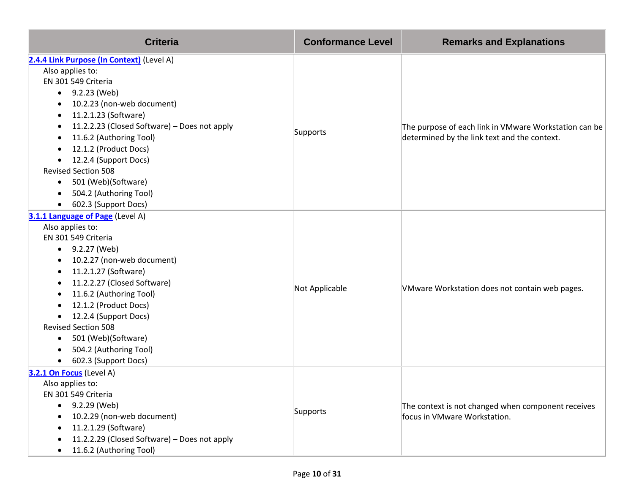| <b>Criteria</b>                              | <b>Conformance Level</b> | <b>Remarks and Explanations</b>                       |
|----------------------------------------------|--------------------------|-------------------------------------------------------|
| 2.4.4 Link Purpose (In Context) (Level A)    |                          |                                                       |
| Also applies to:                             |                          |                                                       |
| EN 301 549 Criteria                          |                          |                                                       |
| 9.2.23 (Web)                                 |                          |                                                       |
| 10.2.23 (non-web document)                   |                          | The purpose of each link in VMware Workstation can be |
| 11.2.1.23 (Software)                         |                          |                                                       |
| 11.2.2.23 (Closed Software) - Does not apply | Supports                 |                                                       |
| 11.6.2 (Authoring Tool)                      |                          | determined by the link text and the context.          |
| 12.1.2 (Product Docs)                        |                          |                                                       |
| 12.2.4 (Support Docs)                        |                          |                                                       |
| <b>Revised Section 508</b>                   |                          |                                                       |
| 501 (Web)(Software)<br>$\bullet$             |                          |                                                       |
| 504.2 (Authoring Tool)                       |                          |                                                       |
| 602.3 (Support Docs)                         |                          |                                                       |
| 3.1.1 Language of Page (Level A)             |                          |                                                       |
| Also applies to:                             |                          |                                                       |
| EN 301 549 Criteria                          |                          |                                                       |
| 9.2.27 (Web)<br>$\bullet$                    |                          |                                                       |
| 10.2.27 (non-web document)                   |                          |                                                       |
| 11.2.1.27 (Software)                         |                          |                                                       |
| 11.2.2.27 (Closed Software)                  | Not Applicable           | VMware Workstation does not contain web pages.        |
| 11.6.2 (Authoring Tool)                      |                          |                                                       |
| 12.1.2 (Product Docs)                        |                          |                                                       |
| 12.2.4 (Support Docs)                        |                          |                                                       |
| <b>Revised Section 508</b>                   |                          |                                                       |
| 501 (Web)(Software)<br>$\bullet$             |                          |                                                       |
| 504.2 (Authoring Tool)                       |                          |                                                       |
| 602.3 (Support Docs)                         |                          |                                                       |
| 3.2.1 On Focus (Level A)                     |                          |                                                       |
| Also applies to:                             |                          |                                                       |
| EN 301 549 Criteria                          |                          |                                                       |
| 9.2.29 (Web)<br>$\bullet$                    | Supports                 | The context is not changed when component receives    |
| 10.2.29 (non-web document)                   |                          | focus in VMware Workstation.                          |
| 11.2.1.29 (Software)                         |                          |                                                       |
| 11.2.2.29 (Closed Software) - Does not apply |                          |                                                       |
| 11.6.2 (Authoring Tool)                      |                          |                                                       |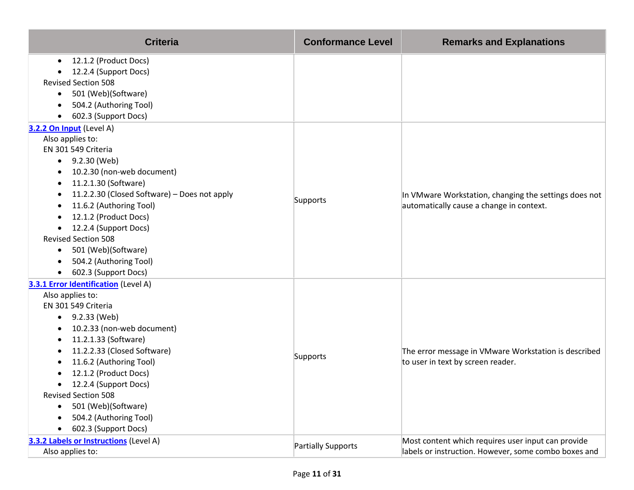| <b>Criteria</b>                                   | <b>Conformance Level</b> | <b>Remarks and Explanations</b>                                                                   |
|---------------------------------------------------|--------------------------|---------------------------------------------------------------------------------------------------|
| 12.1.2 (Product Docs)<br>$\bullet$                |                          |                                                                                                   |
| 12.2.4 (Support Docs)                             |                          |                                                                                                   |
| <b>Revised Section 508</b>                        |                          |                                                                                                   |
| 501 (Web)(Software)<br>$\bullet$                  |                          |                                                                                                   |
| 504.2 (Authoring Tool)                            |                          |                                                                                                   |
| 602.3 (Support Docs)<br>$\bullet$                 |                          |                                                                                                   |
| 3.2.2 On Input (Level A)                          |                          |                                                                                                   |
| Also applies to:<br>EN 301 549 Criteria           |                          |                                                                                                   |
| 9.2.30 (Web)                                      |                          |                                                                                                   |
| $\bullet$<br>10.2.30 (non-web document)           |                          |                                                                                                   |
| ٠<br>11.2.1.30 (Software)<br>٠                    |                          |                                                                                                   |
| 11.2.2.30 (Closed Software) - Does not apply<br>٠ |                          | In VMware Workstation, changing the settings does not<br>automatically cause a change in context. |
| 11.6.2 (Authoring Tool)<br>٠                      | Supports                 |                                                                                                   |
| 12.1.2 (Product Docs)                             |                          |                                                                                                   |
| 12.2.4 (Support Docs)<br>$\bullet$                |                          |                                                                                                   |
| <b>Revised Section 508</b>                        |                          |                                                                                                   |
| 501 (Web)(Software)<br>$\bullet$                  |                          |                                                                                                   |
| 504.2 (Authoring Tool)<br>$\bullet$               |                          |                                                                                                   |
| 602.3 (Support Docs)<br>$\bullet$                 |                          |                                                                                                   |
| 3.3.1 Error Identification (Level A)              |                          |                                                                                                   |
| Also applies to:                                  |                          |                                                                                                   |
| EN 301 549 Criteria                               |                          | The error message in VMware Workstation is described                                              |
| 9.2.33 (Web)<br>$\bullet$                         |                          |                                                                                                   |
| 10.2.33 (non-web document)                        |                          |                                                                                                   |
| 11.2.1.33 (Software)<br>٠                         |                          |                                                                                                   |
| 11.2.2.33 (Closed Software)                       |                          |                                                                                                   |
| 11.6.2 (Authoring Tool)                           | Supports                 | to user in text by screen reader.                                                                 |
| 12.1.2 (Product Docs)                             |                          |                                                                                                   |
| 12.2.4 (Support Docs)<br>$\bullet$                |                          |                                                                                                   |
| <b>Revised Section 508</b>                        |                          |                                                                                                   |
| 501 (Web)(Software)<br>$\bullet$                  |                          |                                                                                                   |
| 504.2 (Authoring Tool)                            |                          |                                                                                                   |
| 602.3 (Support Docs)                              |                          |                                                                                                   |
| 3.3.2 Labels or Instructions (Level A)            | Partially Supports       | Most content which requires user input can provide                                                |
| Also applies to:                                  |                          | labels or instruction. However, some combo boxes and                                              |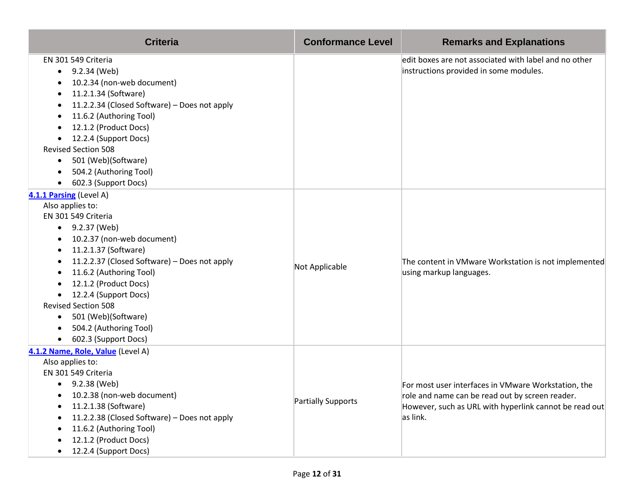| <b>Criteria</b>                                                                                                                                                                                                                                                                                                                                                                                            | <b>Conformance Level</b> | <b>Remarks and Explanations</b>                                                                                                                                              |
|------------------------------------------------------------------------------------------------------------------------------------------------------------------------------------------------------------------------------------------------------------------------------------------------------------------------------------------------------------------------------------------------------------|--------------------------|------------------------------------------------------------------------------------------------------------------------------------------------------------------------------|
| EN 301 549 Criteria<br>9.2.34 (Web)<br>$\bullet$<br>10.2.34 (non-web document)<br>11.2.1.34 (Software)<br>11.2.2.34 (Closed Software) - Does not apply<br>11.6.2 (Authoring Tool)<br>12.1.2 (Product Docs)<br>12.2.4 (Support Docs)<br><b>Revised Section 508</b><br>501 (Web)(Software)<br>$\bullet$<br>504.2 (Authoring Tool)<br>602.3 (Support Docs)                                                    |                          | edit boxes are not associated with label and no other<br>instructions provided in some modules.                                                                              |
| 4.1.1 Parsing (Level A)<br>Also applies to:<br>EN 301 549 Criteria<br>• $9.2.37$ (Web)<br>10.2.37 (non-web document)<br>11.2.1.37 (Software)<br>11.2.2.37 (Closed Software) - Does not apply<br>11.6.2 (Authoring Tool)<br>12.1.2 (Product Docs)<br>12.2.4 (Support Docs)<br><b>Revised Section 508</b><br>501 (Web)(Software)<br>$\bullet$<br>504.2 (Authoring Tool)<br>602.3 (Support Docs)<br>$\bullet$ | Not Applicable           | The content in VMware Workstation is not implemented<br>using markup languages.                                                                                              |
| 4.1.2 Name, Role, Value (Level A)<br>Also applies to:<br>EN 301 549 Criteria<br>9.2.38 (Web)<br>$\bullet$<br>10.2.38 (non-web document)<br>11.2.1.38 (Software)<br>11.2.2.38 (Closed Software) - Does not apply<br>11.6.2 (Authoring Tool)<br>12.1.2 (Product Docs)<br>12.2.4 (Support Docs)                                                                                                               | Partially Supports       | For most user interfaces in VMware Workstation, the<br>role and name can be read out by screen reader.<br>However, such as URL with hyperlink cannot be read out<br>as link. |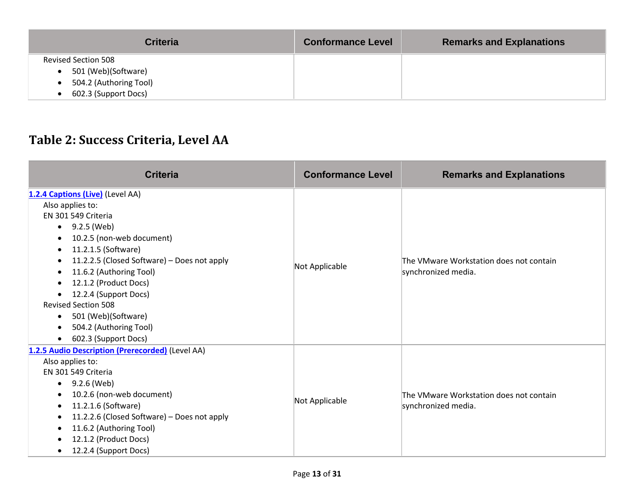| <b>Criteria</b>            | <b>Conformance Level</b> | <b>Remarks and Explanations</b> |
|----------------------------|--------------------------|---------------------------------|
| <b>Revised Section 508</b> |                          |                                 |
| 501 (Web)(Software)        |                          |                                 |
| 504.2 (Authoring Tool)     |                          |                                 |
| 602.3 (Support Docs)       |                          |                                 |

#### **Table 2: Success Criteria, Level AA**

| <b>Criteria</b>                                                                                                                                                                                                                                                                                                                                                                                                                                                              | <b>Conformance Level</b> | <b>Remarks and Explanations</b>                                |
|------------------------------------------------------------------------------------------------------------------------------------------------------------------------------------------------------------------------------------------------------------------------------------------------------------------------------------------------------------------------------------------------------------------------------------------------------------------------------|--------------------------|----------------------------------------------------------------|
| 1.2.4 Captions (Live) (Level AA)<br>Also applies to:<br>EN 301 549 Criteria<br>9.2.5 (Web)<br>$\bullet$<br>10.2.5 (non-web document)<br>11.2.1.5 (Software)<br>$\bullet$<br>11.2.2.5 (Closed Software) - Does not apply<br>$\bullet$<br>11.6.2 (Authoring Tool)<br>$\bullet$<br>12.1.2 (Product Docs)<br>12.2.4 (Support Docs)<br><b>Revised Section 508</b><br>501 (Web)(Software)<br>$\bullet$<br>504.2 (Authoring Tool)<br>$\bullet$<br>602.3 (Support Docs)<br>$\bullet$ | Not Applicable           | The VMware Workstation does not contain<br>synchronized media. |
| 1.2.5 Audio Description (Prerecorded) (Level AA)<br>Also applies to:<br>EN 301 549 Criteria<br>9.2.6 (Web)<br>٠<br>10.2.6 (non-web document)<br>11.2.1.6 (Software)<br>$\bullet$<br>11.2.2.6 (Closed Software) - Does not apply<br>11.6.2 (Authoring Tool)<br>12.1.2 (Product Docs)<br>$\bullet$<br>12.2.4 (Support Docs)<br>$\bullet$                                                                                                                                       | Not Applicable           | The VMware Workstation does not contain<br>synchronized media. |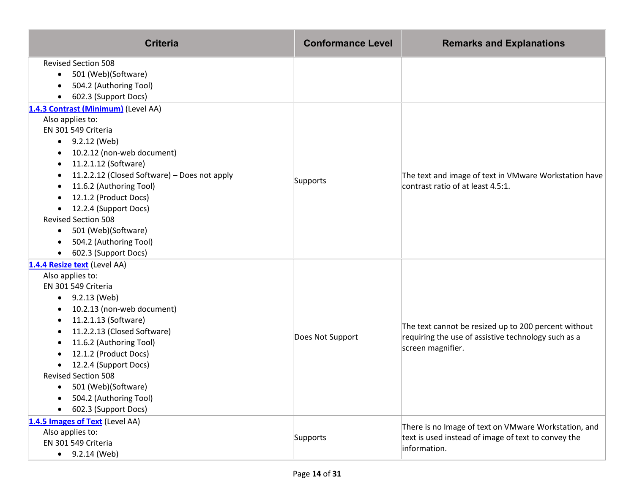| <b>Criteria</b>                                           | <b>Conformance Level</b> | <b>Remarks and Explanations</b>                       |
|-----------------------------------------------------------|--------------------------|-------------------------------------------------------|
| <b>Revised Section 508</b>                                |                          |                                                       |
| 501 (Web)(Software)<br>$\bullet$                          |                          |                                                       |
| 504.2 (Authoring Tool)<br>$\bullet$                       |                          |                                                       |
| 602.3 (Support Docs)                                      |                          |                                                       |
| 1.4.3 Contrast (Minimum) (Level AA)                       |                          |                                                       |
| Also applies to:                                          |                          |                                                       |
| EN 301 549 Criteria                                       |                          |                                                       |
| 9.2.12 (Web)<br>$\bullet$                                 |                          |                                                       |
| 10.2.12 (non-web document)                                |                          |                                                       |
| 11.2.1.12 (Software)                                      |                          |                                                       |
| 11.2.2.12 (Closed Software) - Does not apply<br>$\bullet$ | Supports                 | The text and image of text in VMware Workstation have |
| 11.6.2 (Authoring Tool)                                   |                          | contrast ratio of at least 4.5:1.                     |
| 12.1.2 (Product Docs)                                     |                          |                                                       |
| 12.2.4 (Support Docs)                                     |                          |                                                       |
| <b>Revised Section 508</b>                                |                          |                                                       |
| 501 (Web)(Software)                                       |                          |                                                       |
| 504.2 (Authoring Tool)<br>$\bullet$                       |                          |                                                       |
| 602.3 (Support Docs)<br>$\bullet$                         |                          |                                                       |
| 1.4.4 Resize text (Level AA)                              |                          |                                                       |
| Also applies to:                                          |                          | The text cannot be resized up to 200 percent without  |
| EN 301 549 Criteria                                       |                          |                                                       |
| 9.2.13 (Web)                                              |                          |                                                       |
| 10.2.13 (non-web document)                                |                          |                                                       |
| 11.2.1.13 (Software)                                      |                          |                                                       |
| 11.2.2.13 (Closed Software)<br>11.6.2 (Authoring Tool)    | Does Not Support         | requiring the use of assistive technology such as a   |
| 12.1.2 (Product Docs)                                     |                          | screen magnifier.                                     |
| 12.2.4 (Support Docs)                                     |                          |                                                       |
| <b>Revised Section 508</b>                                |                          |                                                       |
| 501 (Web)(Software)                                       |                          |                                                       |
| 504.2 (Authoring Tool)                                    |                          |                                                       |
| 602.3 (Support Docs)                                      |                          |                                                       |
| 1.4.5 Images of Text (Level AA)                           |                          |                                                       |
| Also applies to:                                          |                          | There is no Image of text on VMware Workstation, and  |
| EN 301 549 Criteria                                       | Supports                 | text is used instead of image of text to convey the   |
| $\bullet$ 9.2.14 (Web)                                    |                          | information.                                          |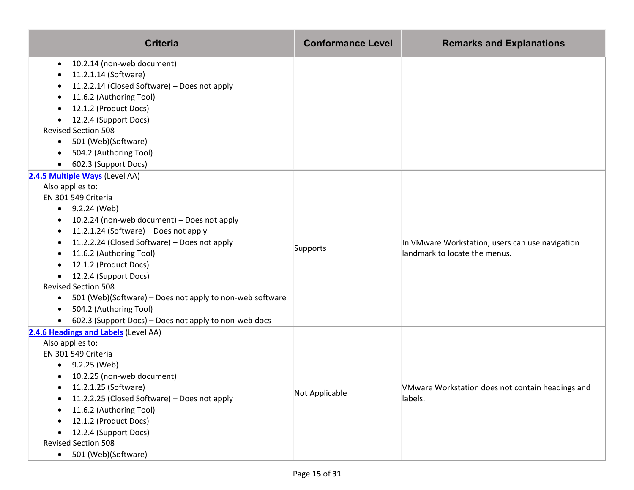| <b>Criteria</b>                                                                                                                                                                                                                                                                                                                                                                                                                                                                                                                                                                                  | <b>Conformance Level</b> | <b>Remarks and Explanations</b>                                                  |
|--------------------------------------------------------------------------------------------------------------------------------------------------------------------------------------------------------------------------------------------------------------------------------------------------------------------------------------------------------------------------------------------------------------------------------------------------------------------------------------------------------------------------------------------------------------------------------------------------|--------------------------|----------------------------------------------------------------------------------|
| 10.2.14 (non-web document)<br>$\bullet$<br>11.2.1.14 (Software)<br>11.2.2.14 (Closed Software) - Does not apply<br>11.6.2 (Authoring Tool)<br>12.1.2 (Product Docs)<br>12.2.4 (Support Docs)<br><b>Revised Section 508</b><br>501 (Web)(Software)<br>$\bullet$<br>504.2 (Authoring Tool)<br>602.3 (Support Docs)                                                                                                                                                                                                                                                                                 |                          |                                                                                  |
| 2.4.5 Multiple Ways (Level AA)<br>Also applies to:<br>EN 301 549 Criteria<br>$\bullet$ 9.2.24 (Web)<br>10.2.24 (non-web document) - Does not apply<br>$\bullet$<br>11.2.1.24 (Software) - Does not apply<br>$\bullet$<br>11.2.2.24 (Closed Software) - Does not apply<br>11.6.2 (Authoring Tool)<br>$\bullet$<br>12.1.2 (Product Docs)<br>12.2.4 (Support Docs)<br>$\bullet$<br><b>Revised Section 508</b><br>501 (Web)(Software) - Does not apply to non-web software<br>$\bullet$<br>504.2 (Authoring Tool)<br>$\bullet$<br>602.3 (Support Docs) - Does not apply to non-web docs<br>$\bullet$ | Supports                 | In VMware Workstation, users can use navigation<br>landmark to locate the menus. |
| 2.4.6 Headings and Labels (Level AA)<br>Also applies to:<br>EN 301 549 Criteria<br>9.2.25 (Web)<br>10.2.25 (non-web document)<br>11.2.1.25 (Software)<br>11.2.2.25 (Closed Software) - Does not apply<br>11.6.2 (Authoring Tool)<br>12.1.2 (Product Docs)<br>12.2.4 (Support Docs)<br><b>Revised Section 508</b><br>501 (Web)(Software)<br>$\bullet$                                                                                                                                                                                                                                             | Not Applicable           | VMware Workstation does not contain headings and<br>labels.                      |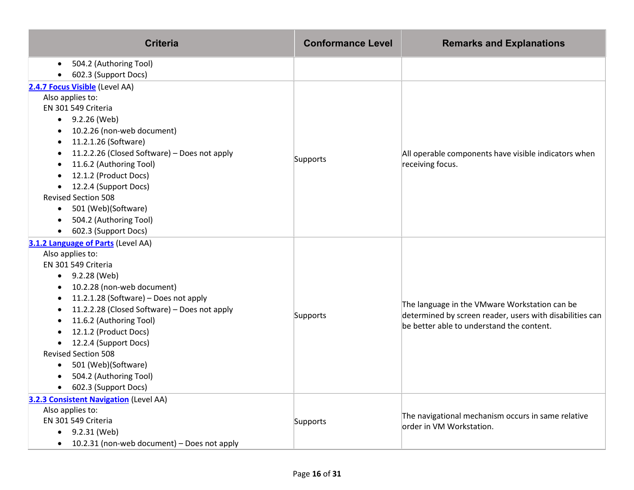| <b>Criteria</b>                              | <b>Conformance Level</b> | <b>Remarks and Explanations</b>                                                                                                                        |
|----------------------------------------------|--------------------------|--------------------------------------------------------------------------------------------------------------------------------------------------------|
| 504.2 (Authoring Tool)                       |                          |                                                                                                                                                        |
| 602.3 (Support Docs)                         |                          |                                                                                                                                                        |
| 2.4.7 Focus Visible (Level AA)               |                          |                                                                                                                                                        |
| Also applies to:                             |                          |                                                                                                                                                        |
| EN 301 549 Criteria                          |                          |                                                                                                                                                        |
| $-9.2.26$ (Web)                              |                          |                                                                                                                                                        |
| 10.2.26 (non-web document)                   |                          |                                                                                                                                                        |
| 11.2.1.26 (Software)                         |                          |                                                                                                                                                        |
| 11.2.2.26 (Closed Software) - Does not apply | Supports                 | All operable components have visible indicators when                                                                                                   |
| 11.6.2 (Authoring Tool)                      |                          | receiving focus.                                                                                                                                       |
| 12.1.2 (Product Docs)                        |                          |                                                                                                                                                        |
| 12.2.4 (Support Docs)                        |                          |                                                                                                                                                        |
| <b>Revised Section 508</b>                   |                          |                                                                                                                                                        |
| 501 (Web)(Software)<br>$\bullet$             |                          |                                                                                                                                                        |
| 504.2 (Authoring Tool)                       |                          |                                                                                                                                                        |
| 602.3 (Support Docs)                         |                          |                                                                                                                                                        |
| 3.1.2 Language of Parts (Level AA)           |                          |                                                                                                                                                        |
| Also applies to:                             |                          | The language in the VMware Workstation can be<br>determined by screen reader, users with disabilities can<br>be better able to understand the content. |
| EN 301 549 Criteria                          |                          |                                                                                                                                                        |
| 9.2.28 (Web)<br>$\bullet$                    |                          |                                                                                                                                                        |
| 10.2.28 (non-web document)<br>$\bullet$      |                          |                                                                                                                                                        |
| 11.2.1.28 (Software) - Does not apply        |                          |                                                                                                                                                        |
| 11.2.2.28 (Closed Software) - Does not apply | Supports                 |                                                                                                                                                        |
| 11.6.2 (Authoring Tool)                      |                          |                                                                                                                                                        |
| 12.1.2 (Product Docs)                        |                          |                                                                                                                                                        |
| 12.2.4 (Support Docs)                        |                          |                                                                                                                                                        |
| <b>Revised Section 508</b>                   |                          |                                                                                                                                                        |
| 501 (Web)(Software)                          |                          |                                                                                                                                                        |
| 504.2 (Authoring Tool)                       |                          |                                                                                                                                                        |
| 602.3 (Support Docs)                         |                          |                                                                                                                                                        |
| 3.2.3 Consistent Navigation (Level AA)       |                          |                                                                                                                                                        |
| Also applies to:                             |                          | The navigational mechanism occurs in same relative                                                                                                     |
| EN 301 549 Criteria                          | Supports                 | order in VM Workstation.                                                                                                                               |
| 9.2.31 (Web)<br>$\bullet$                    |                          |                                                                                                                                                        |
| 10.2.31 (non-web document) - Does not apply  |                          |                                                                                                                                                        |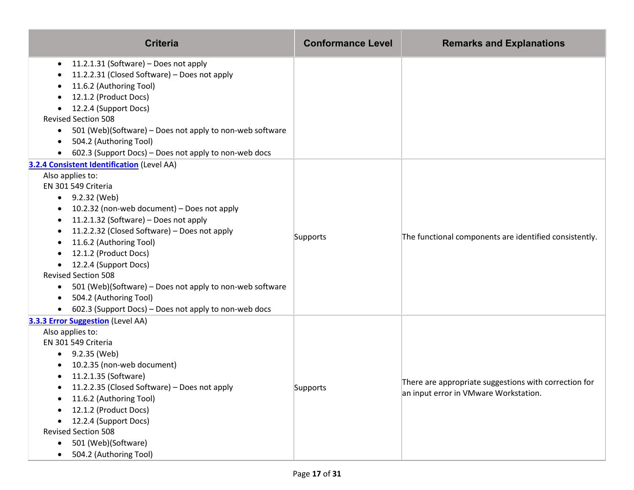| <b>Criteria</b>                                                    | <b>Conformance Level</b> | <b>Remarks and Explanations</b>                        |
|--------------------------------------------------------------------|--------------------------|--------------------------------------------------------|
| 11.2.1.31 (Software) - Does not apply<br>$\bullet$                 |                          |                                                        |
| 11.2.2.31 (Closed Software) - Does not apply<br>٠                  |                          |                                                        |
| 11.6.2 (Authoring Tool)                                            |                          |                                                        |
| 12.1.2 (Product Docs)                                              |                          |                                                        |
| 12.2.4 (Support Docs)<br>٠                                         |                          |                                                        |
| <b>Revised Section 508</b>                                         |                          |                                                        |
| 501 (Web)(Software) – Does not apply to non-web software<br>٠      |                          |                                                        |
| 504.2 (Authoring Tool)<br>$\bullet$                                |                          |                                                        |
| 602.3 (Support Docs) - Does not apply to non-web docs              |                          |                                                        |
| <b>3.2.4 Consistent Identification (Level AA)</b>                  |                          |                                                        |
| Also applies to:                                                   |                          |                                                        |
| EN 301 549 Criteria                                                |                          |                                                        |
| 9.2.32 (Web)<br>$\bullet$                                          |                          |                                                        |
| 10.2.32 (non-web document) - Does not apply                        |                          |                                                        |
| 11.2.1.32 (Software) – Does not apply<br>٠                         |                          |                                                        |
| 11.2.2.32 (Closed Software) - Does not apply<br>٠                  | Supports                 | The functional components are identified consistently. |
| 11.6.2 (Authoring Tool)                                            |                          |                                                        |
| 12.1.2 (Product Docs)                                              |                          |                                                        |
| 12.2.4 (Support Docs)                                              |                          |                                                        |
| <b>Revised Section 508</b>                                         |                          |                                                        |
| 501 (Web)(Software) – Does not apply to non-web software<br>٠      |                          |                                                        |
| 504.2 (Authoring Tool)<br>$\bullet$                                |                          |                                                        |
| 602.3 (Support Docs) - Does not apply to non-web docs<br>$\bullet$ |                          |                                                        |
| <b>3.3.3 Error Suggestion</b> (Level AA)                           |                          |                                                        |
| Also applies to:                                                   |                          |                                                        |
| EN 301 549 Criteria                                                |                          |                                                        |
| $\bullet$ 9.2.35 (Web)                                             |                          |                                                        |
| 10.2.35 (non-web document)                                         |                          |                                                        |
| 11.2.1.35 (Software)<br>$\bullet$                                  |                          | There are appropriate suggestions with correction for  |
| • 11.2.2.35 (Closed Software) - Does not apply                     | Supports                 | an input error in VMware Workstation.                  |
| 11.6.2 (Authoring Tool)                                            |                          |                                                        |
| 12.1.2 (Product Docs)                                              |                          |                                                        |
| 12.2.4 (Support Docs)                                              |                          |                                                        |
| <b>Revised Section 508</b>                                         |                          |                                                        |
| 501 (Web)(Software)                                                |                          |                                                        |
| 504.2 (Authoring Tool)<br>$\bullet$                                |                          |                                                        |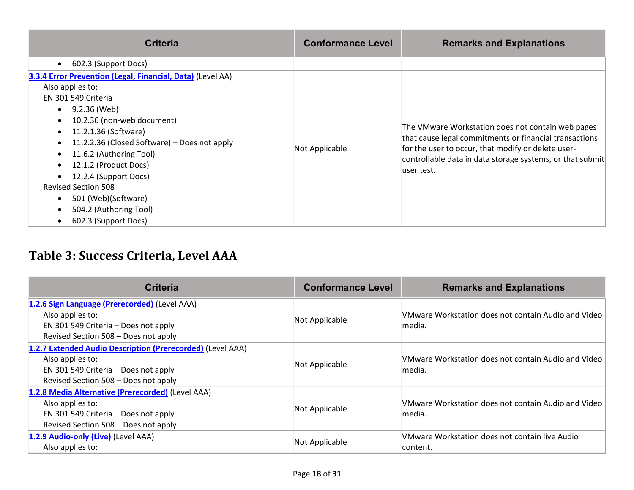| <b>Criteria</b>                                                                                                                                                                                                                                                                                                                                                                                                                                                                                                              | <b>Conformance Level</b> | <b>Remarks and Explanations</b>                                                                                                                                                                                                               |
|------------------------------------------------------------------------------------------------------------------------------------------------------------------------------------------------------------------------------------------------------------------------------------------------------------------------------------------------------------------------------------------------------------------------------------------------------------------------------------------------------------------------------|--------------------------|-----------------------------------------------------------------------------------------------------------------------------------------------------------------------------------------------------------------------------------------------|
| 602.3 (Support Docs)<br>$\bullet$                                                                                                                                                                                                                                                                                                                                                                                                                                                                                            |                          |                                                                                                                                                                                                                                               |
| 3.3.4 Error Prevention (Legal, Financial, Data) (Level AA)<br>Also applies to:<br>EN 301 549 Criteria<br>9.2.36 (Web)<br>$\bullet$<br>10.2.36 (non-web document)<br>$\bullet$<br>11.2.1.36 (Software)<br>$\bullet$<br>11.2.2.36 (Closed Software) – Does not apply<br>$\bullet$<br>11.6.2 (Authoring Tool)<br>$\bullet$<br>12.1.2 (Product Docs)<br>$\bullet$<br>12.2.4 (Support Docs)<br>$\bullet$<br><b>Revised Section 508</b><br>501 (Web)(Software)<br>$\bullet$<br>504.2 (Authoring Tool)<br>٠<br>602.3 (Support Docs) | Not Applicable           | The VMware Workstation does not contain web pages<br>that cause legal commitments or financial transactions<br>for the user to occur, that modify or delete user-<br>controllable data in data storage systems, or that submit<br>luser test. |

# **Table 3: Success Criteria, Level AAA**

| <b>Criteria</b>                                                                                                                                                | <b>Conformance Level</b> | <b>Remarks and Explanations</b>                                |
|----------------------------------------------------------------------------------------------------------------------------------------------------------------|--------------------------|----------------------------------------------------------------|
| 1.2.6 Sign Language (Prerecorded) (Level AAA)<br>Also applies to:<br>EN 301 549 Criteria - Does not apply<br>Revised Section 508 - Does not apply              | Not Applicable           | VMware Workstation does not contain Audio and Video<br>lmedia. |
| 1.2.7 Extended Audio Description (Prerecorded) (Level AAA)<br>Also applies to:<br>EN 301 549 Criteria - Does not apply<br>Revised Section 508 - Does not apply | Not Applicable           | VMware Workstation does not contain Audio and Video<br>lmedia. |
| 1.2.8 Media Alternative (Prerecorded) (Level AAA)<br>Also applies to:<br>EN 301 549 Criteria - Does not apply<br>Revised Section 508 - Does not apply          | Not Applicable           | VMware Workstation does not contain Audio and Video<br>lmedia. |
| 1.2.9 Audio-only (Live) (Level AAA)<br>Also applies to:                                                                                                        | Not Applicable           | VMware Workstation does not contain live Audio<br>content.     |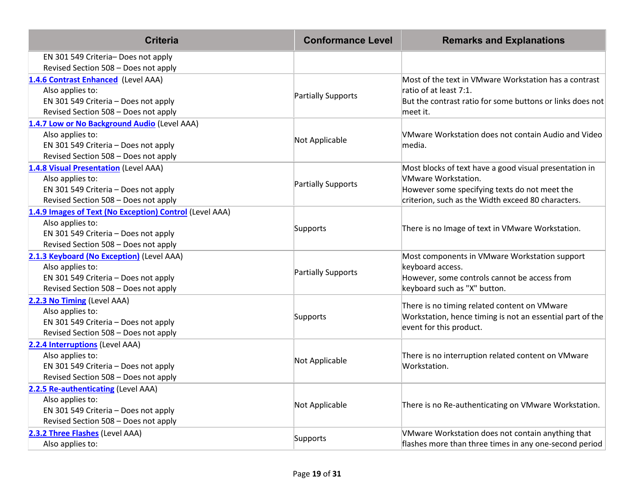| <b>Criteria</b>                                                                                                                                             | <b>Conformance Level</b> | <b>Remarks and Explanations</b>                                                                                                                                                             |
|-------------------------------------------------------------------------------------------------------------------------------------------------------------|--------------------------|---------------------------------------------------------------------------------------------------------------------------------------------------------------------------------------------|
| EN 301 549 Criteria- Does not apply<br>Revised Section 508 - Does not apply                                                                                 |                          |                                                                                                                                                                                             |
| 1.4.6 Contrast Enhanced (Level AAA)<br>Also applies to:<br>EN 301 549 Criteria - Does not apply<br>Revised Section 508 - Does not apply                     | Partially Supports       | Most of the text in VMware Workstation has a contrast<br>ratio of at least 7:1.<br>But the contrast ratio for some buttons or links does not<br>meet it.                                    |
| 1.4.7 Low or No Background Audio (Level AAA)<br>Also applies to:<br>EN 301 549 Criteria - Does not apply<br>Revised Section 508 - Does not apply            | Not Applicable           | VMware Workstation does not contain Audio and Video<br>media.                                                                                                                               |
| 1.4.8 Visual Presentation (Level AAA)<br>Also applies to:<br>EN 301 549 Criteria - Does not apply<br>Revised Section 508 - Does not apply                   | Partially Supports       | Most blocks of text have a good visual presentation in<br><b>VMware Workstation.</b><br>However some specifying texts do not meet the<br>criterion, such as the Width exceed 80 characters. |
| 1.4.9 Images of Text (No Exception) Control (Level AAA)<br>Also applies to:<br>EN 301 549 Criteria - Does not apply<br>Revised Section 508 - Does not apply | Supports                 | There is no Image of text in VMware Workstation.                                                                                                                                            |
| 2.1.3 Keyboard (No Exception) (Level AAA)<br>Also applies to:<br>EN 301 549 Criteria - Does not apply<br>Revised Section 508 - Does not apply               | Partially Supports       | Most components in VMware Workstation support<br>keyboard access.<br>However, some controls cannot be access from<br>keyboard such as "X" button.                                           |
| 2.2.3 No Timing (Level AAA)<br>Also applies to:<br>EN 301 549 Criteria - Does not apply<br>Revised Section 508 - Does not apply                             | Supports                 | There is no timing related content on VMware<br>Workstation, hence timing is not an essential part of the<br>event for this product.                                                        |
| 2.2.4 Interruptions (Level AAA)<br>Also applies to:<br>EN 301 549 Criteria - Does not apply<br>Revised Section 508 - Does not apply                         | Not Applicable           | There is no interruption related content on VMware<br>Workstation.                                                                                                                          |
| 2.2.5 Re-authenticating (Level AAA)<br>Also applies to:<br>EN 301 549 Criteria - Does not apply<br>Revised Section 508 - Does not apply                     | Not Applicable           | There is no Re-authenticating on VMware Workstation.                                                                                                                                        |
| 2.3.2 Three Flashes (Level AAA)<br>Also applies to:                                                                                                         | Supports                 | VMware Workstation does not contain anything that<br>flashes more than three times in any one-second period                                                                                 |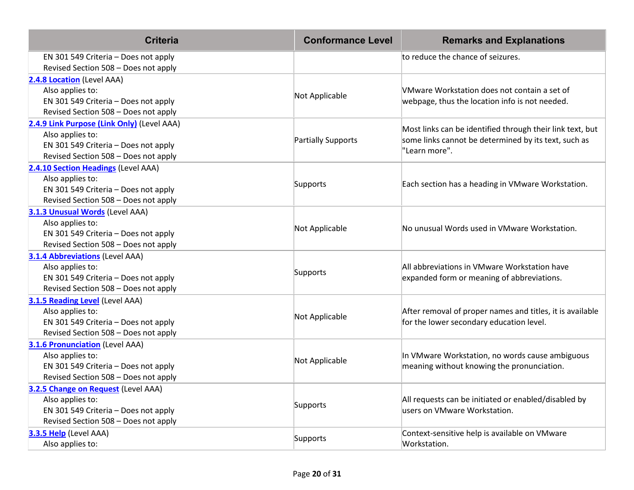| <b>Criteria</b>                                                                                                                                | <b>Conformance Level</b> | <b>Remarks and Explanations</b>                                                                                                    |
|------------------------------------------------------------------------------------------------------------------------------------------------|--------------------------|------------------------------------------------------------------------------------------------------------------------------------|
| EN 301 549 Criteria - Does not apply<br>Revised Section 508 - Does not apply                                                                   |                          | to reduce the chance of seizures.                                                                                                  |
| 2.4.8 Location (Level AAA)<br>Also applies to:<br>EN 301 549 Criteria - Does not apply<br>Revised Section 508 - Does not apply                 | Not Applicable           | VMware Workstation does not contain a set of<br>webpage, thus the location info is not needed.                                     |
| 2.4.9 Link Purpose (Link Only) (Level AAA)<br>Also applies to:<br>EN 301 549 Criteria - Does not apply<br>Revised Section 508 - Does not apply | Partially Supports       | Most links can be identified through their link text, but<br>some links cannot be determined by its text, such as<br>"Learn more". |
| 2.4.10 Section Headings (Level AAA)<br>Also applies to:<br>EN 301 549 Criteria - Does not apply<br>Revised Section 508 - Does not apply        | Supports                 | Each section has a heading in VMware Workstation.                                                                                  |
| 3.1.3 Unusual Words (Level AAA)<br>Also applies to:<br>EN 301 549 Criteria - Does not apply<br>Revised Section 508 - Does not apply            | Not Applicable           | No unusual Words used in VMware Workstation.                                                                                       |
| <b>3.1.4 Abbreviations (Level AAA)</b><br>Also applies to:<br>EN 301 549 Criteria - Does not apply<br>Revised Section 508 - Does not apply     | Supports                 | All abbreviations in VMware Workstation have<br>expanded form or meaning of abbreviations.                                         |
| 3.1.5 Reading Level (Level AAA)<br>Also applies to:<br>EN 301 549 Criteria - Does not apply<br>Revised Section 508 - Does not apply            | Not Applicable           | After removal of proper names and titles, it is available<br>for the lower secondary education level.                              |
| <b>3.1.6 Pronunciation</b> (Level AAA)<br>Also applies to:<br>EN 301 549 Criteria - Does not apply<br>Revised Section 508 - Does not apply     | Not Applicable           | In VMware Workstation, no words cause ambiguous<br>meaning without knowing the pronunciation.                                      |
| 3.2.5 Change on Request (Level AAA)<br>Also applies to:<br>EN 301 549 Criteria - Does not apply<br>Revised Section 508 - Does not apply        | Supports                 | All requests can be initiated or enabled/disabled by<br>users on VMware Workstation.                                               |
| 3.3.5 Help (Level AAA)<br>Also applies to:                                                                                                     | Supports                 | Context-sensitive help is available on VMware<br>Workstation.                                                                      |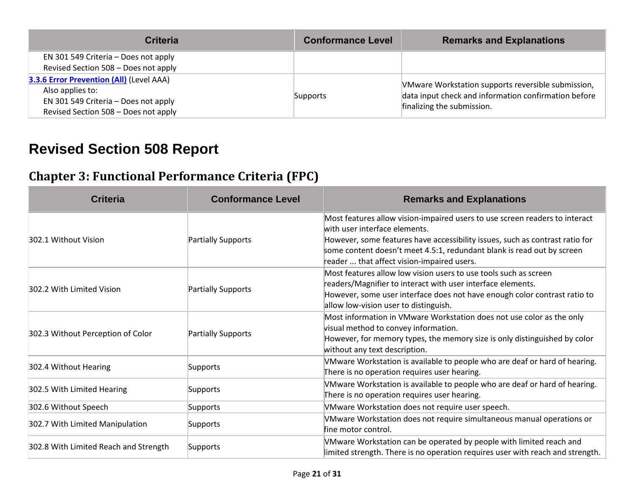| <b>Criteria</b>                          | <b>Conformance Level</b> | <b>Remarks and Explanations</b>                      |
|------------------------------------------|--------------------------|------------------------------------------------------|
| EN 301 549 Criteria - Does not apply     |                          |                                                      |
| Revised Section 508 - Does not apply     |                          |                                                      |
| 3.3.6 Error Prevention (All) (Level AAA) |                          | VMware Workstation supports reversible submission,   |
| Also applies to:                         | Supports                 | data input check and information confirmation before |
| EN 301 549 Criteria - Does not apply     |                          | finalizing the submission.                           |
| Revised Section 508 - Does not apply     |                          |                                                      |

# **Revised Section 508 Report**

#### **Chapter 3: Functional Performance Criteria (FPC)**

| <b>Criteria</b>                       | <b>Conformance Level</b> | <b>Remarks and Explanations</b>                                                                                                                                                                                                                                                                                      |
|---------------------------------------|--------------------------|----------------------------------------------------------------------------------------------------------------------------------------------------------------------------------------------------------------------------------------------------------------------------------------------------------------------|
| 302.1 Without Vision                  | Partially Supports       | Most features allow vision-impaired users to use screen readers to interact<br>with user interface elements.<br>However, some features have accessibility issues, such as contrast ratio for<br>some content doesn't meet 4.5:1, redundant blank is read out by screen<br>reader  that affect vision-impaired users. |
| 302.2 With Limited Vision             | Partially Supports       | Most features allow low vision users to use tools such as screen<br>readers/Magnifier to interact with user interface elements.<br>However, some user interface does not have enough color contrast ratio to<br>allow low-vision user to distinguish.                                                                |
| 302.3 Without Perception of Color     | Partially Supports       | Most information in VMware Workstation does not use color as the only<br>visual method to convey information.<br>However, for memory types, the memory size is only distinguished by color<br>without any text description.                                                                                          |
| 302.4 Without Hearing                 | Supports                 | VMware Workstation is available to people who are deaf or hard of hearing.<br>There is no operation requires user hearing.                                                                                                                                                                                           |
| 302.5 With Limited Hearing            | Supports                 | VMware Workstation is available to people who are deaf or hard of hearing.<br>There is no operation requires user hearing.                                                                                                                                                                                           |
| 302.6 Without Speech                  | Supports                 | VMware Workstation does not require user speech.                                                                                                                                                                                                                                                                     |
| 302.7 With Limited Manipulation       | Supports                 | VMware Workstation does not require simultaneous manual operations or<br>fine motor control.                                                                                                                                                                                                                         |
| 302.8 With Limited Reach and Strength | Supports                 | VMware Workstation can be operated by people with limited reach and<br>limited strength. There is no operation requires user with reach and strength.                                                                                                                                                                |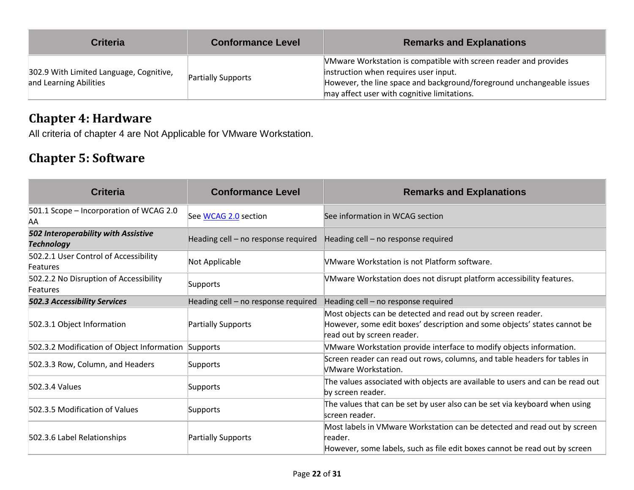| <b>Criteria</b>                                                   | <b>Conformance Level</b> | <b>Remarks and Explanations</b>                                                                                                                                                                                                   |
|-------------------------------------------------------------------|--------------------------|-----------------------------------------------------------------------------------------------------------------------------------------------------------------------------------------------------------------------------------|
| 302.9 With Limited Language, Cognitive,<br>and Learning Abilities | Partially Supports       | VMware Workstation is compatible with screen reader and provides<br>instruction when requires user input.<br>However, the line space and background/foreground unchangeable issues<br>may affect user with cognitive limitations. |

#### **Chapter 4: Hardware**

All criteria of chapter 4 are Not Applicable for VMware Workstation.

#### **Chapter 5: Software**

| <b>Criteria</b>                                          | <b>Conformance Level</b>            | <b>Remarks and Explanations</b>                                                                                                                                       |
|----------------------------------------------------------|-------------------------------------|-----------------------------------------------------------------------------------------------------------------------------------------------------------------------|
| 501.1 Scope - Incorporation of WCAG 2.0<br>AA            | See WCAG 2.0 section                | See information in WCAG section                                                                                                                                       |
| 502 Interoperability with Assistive<br><b>Technology</b> | Heading cell - no response required | Heading cell - no response required                                                                                                                                   |
| 502.2.1 User Control of Accessibility<br>Features        | Not Applicable                      | VMware Workstation is not Platform software.                                                                                                                          |
| 502.2.2 No Disruption of Accessibility<br>Features       | Supports                            | VMware Workstation does not disrupt platform accessibility features.                                                                                                  |
| <b>502.3 Accessibility Services</b>                      | Heading cell - no response required | Heading cell - no response required                                                                                                                                   |
| 502.3.1 Object Information                               | Partially Supports                  | Most objects can be detected and read out by screen reader.<br>However, some edit boxes' description and some objects' states cannot be<br>read out by screen reader. |
| 502.3.2 Modification of Object Information Supports      |                                     | VMware Workstation provide interface to modify objects information.                                                                                                   |
| 502.3.3 Row, Column, and Headers                         | Supports                            | Screen reader can read out rows, columns, and table headers for tables in<br>VMware Workstation.                                                                      |
| 502.3.4 Values                                           | Supports                            | The values associated with objects are available to users and can be read out<br>by screen reader.                                                                    |
| 502.3.5 Modification of Values                           | Supports                            | The values that can be set by user also can be set via keyboard when using<br>screen reader.                                                                          |
| 502.3.6 Label Relationships                              | Partially Supports                  | Most labels in VMware Workstation can be detected and read out by screen<br>reader.<br>However, some labels, such as file edit boxes cannot be read out by screen     |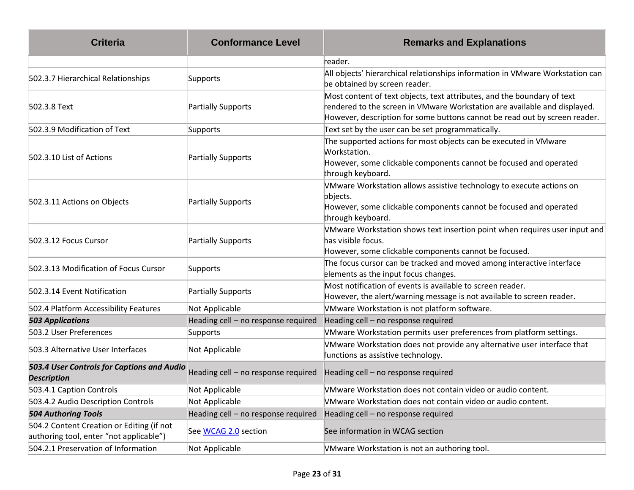| <b>Criteria</b>                                                                      | <b>Conformance Level</b>            | <b>Remarks and Explanations</b>                                                                                                                                                                                                    |
|--------------------------------------------------------------------------------------|-------------------------------------|------------------------------------------------------------------------------------------------------------------------------------------------------------------------------------------------------------------------------------|
|                                                                                      |                                     | reader.                                                                                                                                                                                                                            |
| 502.3.7 Hierarchical Relationships                                                   | Supports                            | All objects' hierarchical relationships information in VMware Workstation can<br>be obtained by screen reader.                                                                                                                     |
| 502.3.8 Text                                                                         | Partially Supports                  | Most content of text objects, text attributes, and the boundary of text<br>rendered to the screen in VMware Workstation are available and displayed.<br>However, description for some buttons cannot be read out by screen reader. |
| 502.3.9 Modification of Text                                                         | Supports                            | Text set by the user can be set programmatically.                                                                                                                                                                                  |
| 502.3.10 List of Actions                                                             | Partially Supports                  | The supported actions for most objects can be executed in VMware<br>Workstation.<br>However, some clickable components cannot be focused and operated<br>through keyboard.                                                         |
| 502.3.11 Actions on Objects                                                          | Partially Supports                  | VMware Workstation allows assistive technology to execute actions on<br>objects.<br>However, some clickable components cannot be focused and operated<br>through keyboard.                                                         |
| 502.3.12 Focus Cursor                                                                | Partially Supports                  | VMware Workstation shows text insertion point when requires user input and<br>has visible focus.<br>However, some clickable components cannot be focused.                                                                          |
| 502.3.13 Modification of Focus Cursor                                                | Supports                            | The focus cursor can be tracked and moved among interactive interface<br>elements as the input focus changes.                                                                                                                      |
| 502.3.14 Event Notification                                                          | Partially Supports                  | Most notification of events is available to screen reader.<br>However, the alert/warning message is not available to screen reader.                                                                                                |
| 502.4 Platform Accessibility Features                                                | Not Applicable                      | VMware Workstation is not platform software.                                                                                                                                                                                       |
| <b>503 Applications</b>                                                              | Heading cell - no response required | Heading cell - no response required                                                                                                                                                                                                |
| 503.2 User Preferences                                                               | Supports                            | VMware Workstation permits user preferences from platform settings.                                                                                                                                                                |
| 503.3 Alternative User Interfaces                                                    | Not Applicable                      | VMware Workstation does not provide any alternative user interface that<br>functions as assistive technology.                                                                                                                      |
| 503.4 User Controls for Captions and Audio<br><b>Description</b>                     | Heading cell - no response required | Heading cell - no response required                                                                                                                                                                                                |
| 503.4.1 Caption Controls                                                             | Not Applicable                      | VMware Workstation does not contain video or audio content.                                                                                                                                                                        |
| 503.4.2 Audio Description Controls                                                   | Not Applicable                      | VMware Workstation does not contain video or audio content.                                                                                                                                                                        |
| <b>504 Authoring Tools</b>                                                           | Heading cell - no response required | Heading cell - no response required                                                                                                                                                                                                |
| 504.2 Content Creation or Editing (if not<br>authoring tool, enter "not applicable") | See WCAG 2.0 section                | See information in WCAG section                                                                                                                                                                                                    |
| 504.2.1 Preservation of Information                                                  | Not Applicable                      | VMware Workstation is not an authoring tool.                                                                                                                                                                                       |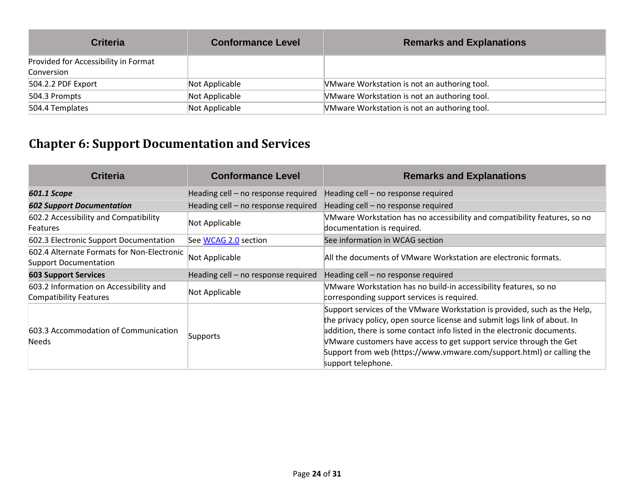| <b>Criteria</b>                      | <b>Conformance Level</b> | <b>Remarks and Explanations</b>              |
|--------------------------------------|--------------------------|----------------------------------------------|
| Provided for Accessibility in Format |                          |                                              |
| Conversion                           |                          |                                              |
| 504.2.2 PDF Export                   | Not Applicable           | VMware Workstation is not an authoring tool. |
| 504.3 Prompts                        | Not Applicable           | VMware Workstation is not an authoring tool. |
| 504.4 Templates                      | Not Applicable           | VMware Workstation is not an authoring tool. |

# **Chapter 6: Support Documentation and Services**

| <b>Criteria</b>                                                            | <b>Conformance Level</b>            | <b>Remarks and Explanations</b>                                                                                                                                                                                                                                                                                                                                                                          |
|----------------------------------------------------------------------------|-------------------------------------|----------------------------------------------------------------------------------------------------------------------------------------------------------------------------------------------------------------------------------------------------------------------------------------------------------------------------------------------------------------------------------------------------------|
| 601.1 Scope                                                                | Heading cell - no response required | Heading cell - no response required                                                                                                                                                                                                                                                                                                                                                                      |
| <b>602 Support Documentation</b>                                           | Heading cell - no response required | Heading cell - no response required                                                                                                                                                                                                                                                                                                                                                                      |
| 602.2 Accessibility and Compatibility<br><b>Features</b>                   | Not Applicable                      | VMware Workstation has no accessibility and compatibility features, so no<br>documentation is required.                                                                                                                                                                                                                                                                                                  |
| 602.3 Electronic Support Documentation                                     | See WCAG 2.0 section                | See information in WCAG section                                                                                                                                                                                                                                                                                                                                                                          |
| 602.4 Alternate Formats for Non-Electronic<br><b>Support Documentation</b> | Not Applicable                      | All the documents of VMware Workstation are electronic formats.                                                                                                                                                                                                                                                                                                                                          |
| <b>603 Support Services</b>                                                | Heading cell - no response required | Heading cell - no response required                                                                                                                                                                                                                                                                                                                                                                      |
| 603.2 Information on Accessibility and<br><b>Compatibility Features</b>    | Not Applicable                      | VMware Workstation has no build-in accessibility features, so no<br>corresponding support services is required.                                                                                                                                                                                                                                                                                          |
| 603.3 Accommodation of Communication<br><b>Needs</b>                       | Supports                            | Support services of the VMware Workstation is provided, such as the Help,<br>the privacy policy, open source license and submit logs link of about. In<br>addition, there is some contact info listed in the electronic documents.<br>VMware customers have access to get support service through the Get<br>Support from web (https://www.vmware.com/support.html) or calling the<br>support telephone. |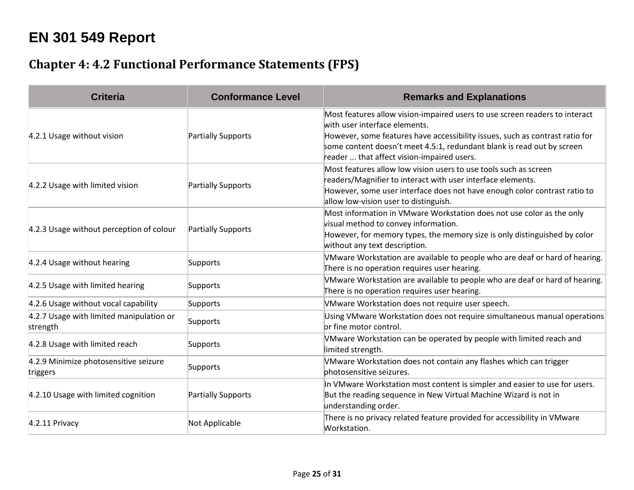# **EN 301 549 Report**

#### **Chapter 4: 4.2 Functional Performance Statements (FPS)**

| <b>Criteria</b>                                      | <b>Conformance Level</b> | <b>Remarks and Explanations</b>                                                                                                                                                                                                                                                                                      |
|------------------------------------------------------|--------------------------|----------------------------------------------------------------------------------------------------------------------------------------------------------------------------------------------------------------------------------------------------------------------------------------------------------------------|
| 4.2.1 Usage without vision                           | Partially Supports       | Most features allow vision-impaired users to use screen readers to interact<br>with user interface elements.<br>However, some features have accessibility issues, such as contrast ratio for<br>some content doesn't meet 4.5:1, redundant blank is read out by screen<br>reader  that affect vision-impaired users. |
| 4.2.2 Usage with limited vision                      | Partially Supports       | Most features allow low vision users to use tools such as screen<br>readers/Magnifier to interact with user interface elements.<br>However, some user interface does not have enough color contrast ratio to<br>allow low-vision user to distinguish.                                                                |
| 4.2.3 Usage without perception of colour             | Partially Supports       | Most information in VMware Workstation does not use color as the only<br>visual method to convey information.<br>However, for memory types, the memory size is only distinguished by color<br>without any text description.                                                                                          |
| 4.2.4 Usage without hearing                          | Supports                 | VMware Workstation are available to people who are deaf or hard of hearing.<br>There is no operation requires user hearing.                                                                                                                                                                                          |
| 4.2.5 Usage with limited hearing                     | Supports                 | VMware Workstation are available to people who are deaf or hard of hearing.<br>There is no operation requires user hearing.                                                                                                                                                                                          |
| 4.2.6 Usage without vocal capability                 | Supports                 | VMware Workstation does not require user speech.                                                                                                                                                                                                                                                                     |
| 4.2.7 Usage with limited manipulation or<br>strength | Supports                 | Using VMware Workstation does not require simultaneous manual operations<br>or fine motor control.                                                                                                                                                                                                                   |
| 4.2.8 Usage with limited reach                       | Supports                 | VMware Workstation can be operated by people with limited reach and<br>limited strength.                                                                                                                                                                                                                             |
| 4.2.9 Minimize photosensitive seizure<br>triggers    | Supports                 | VMware Workstation does not contain any flashes which can trigger<br>photosensitive seizures.                                                                                                                                                                                                                        |
| 4.2.10 Usage with limited cognition                  | Partially Supports       | In VMware Workstation most content is simpler and easier to use for users.<br>But the reading sequence in New Virtual Machine Wizard is not in<br>understanding order.                                                                                                                                               |
| 4.2.11 Privacy                                       | Not Applicable           | There is no privacy related feature provided for accessibility in VMware<br>Workstation.                                                                                                                                                                                                                             |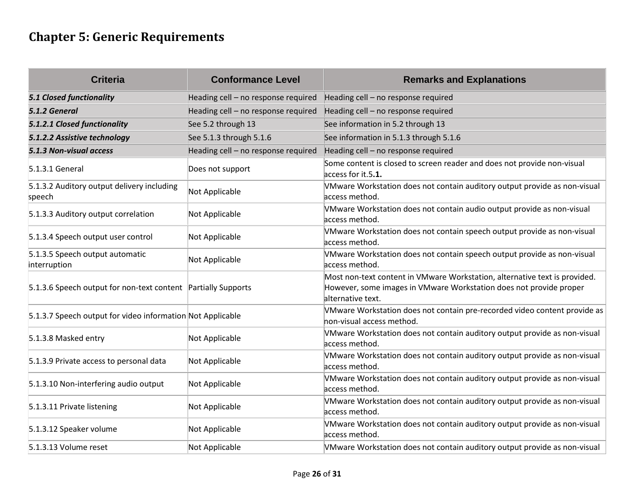# **Chapter 5: Generic Requirements**

| <b>Criteria</b>                                               | <b>Conformance Level</b>            | <b>Remarks and Explanations</b>                                                                                                                                       |
|---------------------------------------------------------------|-------------------------------------|-----------------------------------------------------------------------------------------------------------------------------------------------------------------------|
| <b>5.1 Closed functionality</b>                               | Heading cell - no response required | Heading cell - no response required                                                                                                                                   |
| 5.1.2 General                                                 | Heading cell - no response required | Heading cell - no response required                                                                                                                                   |
| 5.1.2.1 Closed functionality                                  | See 5.2 through 13                  | See information in 5.2 through 13                                                                                                                                     |
| 5.1.2.2 Assistive technology                                  | See 5.1.3 through 5.1.6             | See information in 5.1.3 through 5.1.6                                                                                                                                |
| 5.1.3 Non-visual access                                       | Heading cell - no response required | Heading cell - no response required                                                                                                                                   |
| 5.1.3.1 General                                               | Does not support                    | Some content is closed to screen reader and does not provide non-visual<br>access for it.5.1.                                                                         |
| 5.1.3.2 Auditory output delivery including<br>speech          | Not Applicable                      | VMware Workstation does not contain auditory output provide as non-visual<br>access method.                                                                           |
| 5.1.3.3 Auditory output correlation                           | Not Applicable                      | VMware Workstation does not contain audio output provide as non-visual<br>access method.                                                                              |
| 5.1.3.4 Speech output user control                            | Not Applicable                      | VMware Workstation does not contain speech output provide as non-visual<br>access method.                                                                             |
| 5.1.3.5 Speech output automatic<br>interruption               | Not Applicable                      | VMware Workstation does not contain speech output provide as non-visual<br>access method.                                                                             |
| 5.1.3.6 Speech output for non-text content Partially Supports |                                     | Most non-text content in VMware Workstation, alternative text is provided.<br>However, some images in VMware Workstation does not provide proper<br>alternative text. |
| 5.1.3.7 Speech output for video information Not Applicable    |                                     | VMware Workstation does not contain pre-recorded video content provide as<br>hon-visual access method.                                                                |
| 5.1.3.8 Masked entry                                          | Not Applicable                      | VMware Workstation does not contain auditory output provide as non-visual<br>access method.                                                                           |
| 5.1.3.9 Private access to personal data                       | Not Applicable                      | VMware Workstation does not contain auditory output provide as non-visual<br>access method.                                                                           |
| 5.1.3.10 Non-interfering audio output                         | Not Applicable                      | VMware Workstation does not contain auditory output provide as non-visual<br>access method.                                                                           |
| 5.1.3.11 Private listening                                    | Not Applicable                      | VMware Workstation does not contain auditory output provide as non-visual<br>access method.                                                                           |
| 5.1.3.12 Speaker volume                                       | Not Applicable                      | VMware Workstation does not contain auditory output provide as non-visual<br>access method.                                                                           |
| 5.1.3.13 Volume reset                                         | Not Applicable                      | VMware Workstation does not contain auditory output provide as non-visual                                                                                             |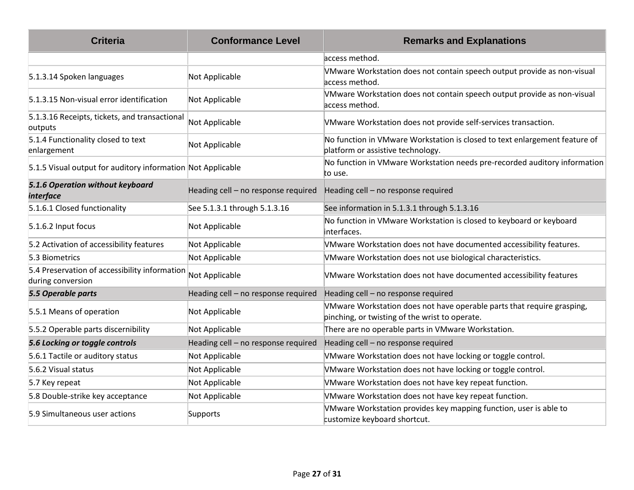| <b>Criteria</b>                                                    | <b>Conformance Level</b>            | <b>Remarks and Explanations</b>                                                                                          |
|--------------------------------------------------------------------|-------------------------------------|--------------------------------------------------------------------------------------------------------------------------|
|                                                                    |                                     | access method.                                                                                                           |
| 5.1.3.14 Spoken languages                                          | Not Applicable                      | VMware Workstation does not contain speech output provide as non-visual<br>access method.                                |
| 5.1.3.15 Non-visual error identification                           | Not Applicable                      | VMware Workstation does not contain speech output provide as non-visual<br>access method.                                |
| 5.1.3.16 Receipts, tickets, and transactional<br>outputs           | Not Applicable                      | VMware Workstation does not provide self-services transaction.                                                           |
| 5.1.4 Functionality closed to text<br>enlargement                  | Not Applicable                      | No function in VMware Workstation is closed to text enlargement feature of<br>platform or assistive technology.          |
| 5.1.5 Visual output for auditory information Not Applicable        |                                     | No function in VMware Workstation needs pre-recorded auditory information<br>to use.                                     |
| 5.1.6 Operation without keyboard<br><i>interface</i>               | Heading cell - no response required | Heading cell - no response required                                                                                      |
| 5.1.6.1 Closed functionality                                       | See 5.1.3.1 through 5.1.3.16        | See information in 5.1.3.1 through 5.1.3.16                                                                              |
| 5.1.6.2 Input focus                                                | Not Applicable                      | No function in VMware Workstation is closed to keyboard or keyboard<br>interfaces.                                       |
| 5.2 Activation of accessibility features                           | Not Applicable                      | VMware Workstation does not have documented accessibility features.                                                      |
| 5.3 Biometrics                                                     | Not Applicable                      | VMware Workstation does not use biological characteristics.                                                              |
| 5.4 Preservation of accessibility information<br>during conversion | Not Applicable                      | VMware Workstation does not have documented accessibility features                                                       |
| 5.5 Operable parts                                                 | Heading cell - no response required | Heading cell - no response required                                                                                      |
| 5.5.1 Means of operation                                           | Not Applicable                      | VMware Workstation does not have operable parts that require grasping,<br>pinching, or twisting of the wrist to operate. |
| 5.5.2 Operable parts discernibility                                | Not Applicable                      | There are no operable parts in VMware Workstation.                                                                       |
| 5.6 Locking or toggle controls                                     | Heading cell - no response required | Heading cell - no response required                                                                                      |
| 5.6.1 Tactile or auditory status                                   | Not Applicable                      | VMware Workstation does not have locking or toggle control.                                                              |
| 5.6.2 Visual status                                                | Not Applicable                      | VMware Workstation does not have locking or toggle control.                                                              |
| 5.7 Key repeat                                                     | Not Applicable                      | VMware Workstation does not have key repeat function.                                                                    |
| 5.8 Double-strike key acceptance                                   | Not Applicable                      | VMware Workstation does not have key repeat function.                                                                    |
| 5.9 Simultaneous user actions                                      | Supports                            | VMware Workstation provides key mapping function, user is able to<br>customize keyboard shortcut.                        |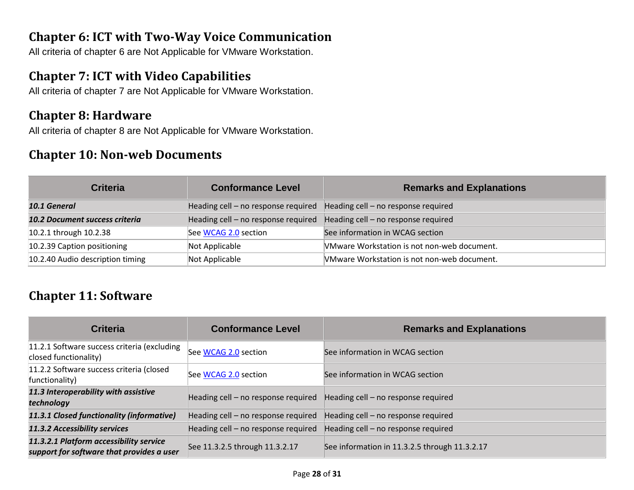#### **Chapter 6: ICT with Two-Way Voice Communication**

All criteria of chapter 6 are Not Applicable for VMware Workstation.

#### **Chapter 7: ICT with Video Capabilities**

All criteria of chapter 7 are Not Applicable for VMware Workstation.

#### **Chapter 8: Hardware**

All criteria of chapter 8 are Not Applicable for VMware Workstation.

#### **Chapter 10: Non-web Documents**

| <b>Criteria</b>                  | <b>Conformance Level</b>            | <b>Remarks and Explanations</b>             |
|----------------------------------|-------------------------------------|---------------------------------------------|
| 10.1 General                     | Heading cell - no response required | Heading cell - no response required         |
| 10.2 Document success criteria   | Heading cell - no response required | Heading cell - no response required         |
| 10.2.1 through 10.2.38           | See WCAG 2.0 section                | See information in WCAG section             |
| 10.2.39 Caption positioning      | Not Applicable                      | VMware Workstation is not non-web document. |
| 10.2.40 Audio description timing | Not Applicable                      | VMware Workstation is not non-web document. |

#### **Chapter 11: Software**

| <b>Criteria</b>                                                                      | <b>Conformance Level</b>            | <b>Remarks and Explanations</b>               |
|--------------------------------------------------------------------------------------|-------------------------------------|-----------------------------------------------|
| 11.2.1 Software success criteria (excluding<br>closed functionality)                 | See WCAG 2.0 section                | See information in WCAG section               |
| 11.2.2 Software success criteria (closed<br>functionality)                           | See WCAG 2.0 section                | See information in WCAG section               |
| 11.3 Interoperability with assistive<br>technology                                   | Heading cell - no response required | Heading cell - no response required           |
| 11.3.1 Closed functionality (informative)                                            | Heading cell - no response required | Heading cell – no response required           |
| 11.3.2 Accessibility services                                                        | Heading cell - no response required | Heading cell - no response required           |
| 11.3.2.1 Platform accessibility service<br>support for software that provides a user | See 11.3.2.5 through 11.3.2.17      | See information in 11.3.2.5 through 11.3.2.17 |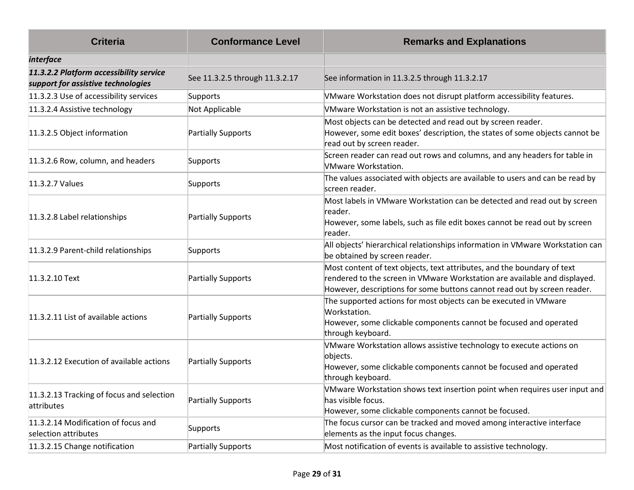| <b>Criteria</b>                                                               | <b>Conformance Level</b>       | <b>Remarks and Explanations</b>                                                                                                                                                                                                  |
|-------------------------------------------------------------------------------|--------------------------------|----------------------------------------------------------------------------------------------------------------------------------------------------------------------------------------------------------------------------------|
| <i>interface</i>                                                              |                                |                                                                                                                                                                                                                                  |
| 11.3.2.2 Platform accessibility service<br>support for assistive technologies | See 11.3.2.5 through 11.3.2.17 | See information in 11.3.2.5 through 11.3.2.17                                                                                                                                                                                    |
| 11.3.2.3 Use of accessibility services                                        | Supports                       | VMware Workstation does not disrupt platform accessibility features.                                                                                                                                                             |
| 11.3.2.4 Assistive technology                                                 | Not Applicable                 | VMware Workstation is not an assistive technology.                                                                                                                                                                               |
| 11.3.2.5 Object information                                                   | Partially Supports             | Most objects can be detected and read out by screen reader.<br>However, some edit boxes' description, the states of some objects cannot be<br>read out by screen reader.                                                         |
| 11.3.2.6 Row, column, and headers                                             | Supports                       | Screen reader can read out rows and columns, and any headers for table in<br><b>VMware Workstation.</b>                                                                                                                          |
| 11.3.2.7 Values                                                               | Supports                       | The values associated with objects are available to users and can be read by<br>screen reader.                                                                                                                                   |
| 11.3.2.8 Label relationships                                                  | Partially Supports             | Most labels in VMware Workstation can be detected and read out by screen<br>reader.<br>However, some labels, such as file edit boxes cannot be read out by screen<br>reader.                                                     |
| 11.3.2.9 Parent-child relationships                                           | Supports                       | All objects' hierarchical relationships information in VMware Workstation can<br>be obtained by screen reader.                                                                                                                   |
| 11.3.2.10 Text                                                                | Partially Supports             | Most content of text objects, text attributes, and the boundary of text<br>rendered to the screen in VMware Workstation are available and displayed.<br>However, descriptions for some buttons cannot read out by screen reader. |
| 11.3.2.11 List of available actions                                           | Partially Supports             | The supported actions for most objects can be executed in VMware<br>Workstation.<br>However, some clickable components cannot be focused and operated<br>through keyboard.                                                       |
| 11.3.2.12 Execution of available actions                                      | Partially Supports             | VMware Workstation allows assistive technology to execute actions on<br>objects.<br>However, some clickable components cannot be focused and operated<br>through keyboard.                                                       |
| 11.3.2.13 Tracking of focus and selection<br>attributes                       | Partially Supports             | VMware Workstation shows text insertion point when requires user input and<br>has visible focus.<br>However, some clickable components cannot be focused.                                                                        |
| 11.3.2.14 Modification of focus and<br>selection attributes                   | Supports                       | The focus cursor can be tracked and moved among interactive interface<br>elements as the input focus changes.                                                                                                                    |
| 11.3.2.15 Change notification                                                 | Partially Supports             | Most notification of events is available to assistive technology.                                                                                                                                                                |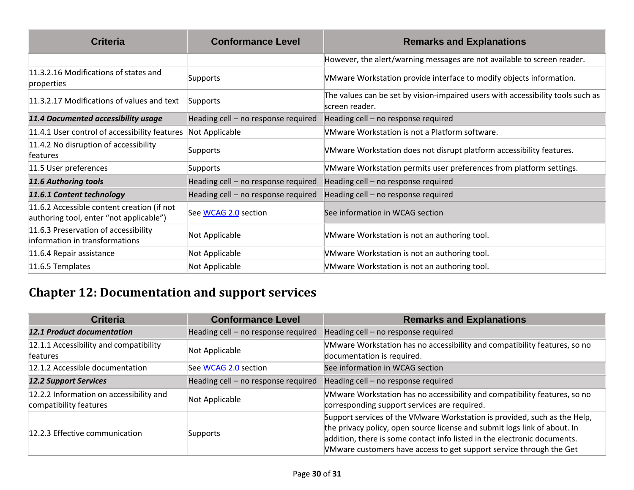| <b>Criteria</b>                                                                       | <b>Conformance Level</b>            | <b>Remarks and Explanations</b>                                                                   |
|---------------------------------------------------------------------------------------|-------------------------------------|---------------------------------------------------------------------------------------------------|
|                                                                                       |                                     | However, the alert/warning messages are not available to screen reader.                           |
| 11.3.2.16 Modifications of states and<br>properties                                   | Supports                            | VMware Workstation provide interface to modify objects information.                               |
| 11.3.2.17 Modifications of values and text                                            | Supports                            | The values can be set by vision-impaired users with accessibility tools such as<br>screen reader. |
| 11.4 Documented accessibility usage                                                   | Heading cell - no response required | Heading cell - no response required                                                               |
| 11.4.1 User control of accessibility features                                         | Not Applicable                      | VMware Workstation is not a Platform software.                                                    |
| 11.4.2 No disruption of accessibility<br>features                                     | Supports                            | VMware Workstation does not disrupt platform accessibility features.                              |
| 11.5 User preferences                                                                 | Supports                            | VMware Workstation permits user preferences from platform settings.                               |
| 11.6 Authoring tools                                                                  | Heading cell - no response required | Heading cell - no response required                                                               |
| 11.6.1 Content technology                                                             | Heading cell - no response required | Heading cell - no response required                                                               |
| 11.6.2 Accessible content creation (if not<br>authoring tool, enter "not applicable") | See WCAG 2.0 section                | See information in WCAG section                                                                   |
| 11.6.3 Preservation of accessibility<br>information in transformations                | Not Applicable                      | VMware Workstation is not an authoring tool.                                                      |
| 11.6.4 Repair assistance                                                              | Not Applicable                      | VMware Workstation is not an authoring tool.                                                      |
| 11.6.5 Templates                                                                      | Not Applicable                      | VMware Workstation is not an authoring tool.                                                      |

# **Chapter 12: Documentation and support services**

| <b>Criteria</b>                                                   | <b>Conformance Level</b>            | <b>Remarks and Explanations</b>                                                                                                                                                                                                                                                                           |
|-------------------------------------------------------------------|-------------------------------------|-----------------------------------------------------------------------------------------------------------------------------------------------------------------------------------------------------------------------------------------------------------------------------------------------------------|
| <b>12.1 Product documentation</b>                                 | Heading cell - no response required | Heading cell - no response required                                                                                                                                                                                                                                                                       |
| 12.1.1 Accessibility and compatibility<br><b>features</b>         | Not Applicable                      | VMware Workstation has no accessibility and compatibility features, so no<br>documentation is required.                                                                                                                                                                                                   |
| 12.1.2 Accessible documentation                                   | See WCAG 2.0 section                | See information in WCAG section                                                                                                                                                                                                                                                                           |
| <b>12.2 Support Services</b>                                      | Heading cell - no response required | Heading cell - no response required                                                                                                                                                                                                                                                                       |
| 12.2.2 Information on accessibility and<br>compatibility features | Not Applicable                      | VMware Workstation has no accessibility and compatibility features, so no<br>corresponding support services are required.                                                                                                                                                                                 |
| 12.2.3 Effective communication                                    | Supports                            | Support services of the VMware Workstation is provided, such as the Help,<br>the privacy policy, open source license and submit logs link of about. In<br>addition, there is some contact info listed in the electronic documents.<br>VMware customers have access to get support service through the Get |